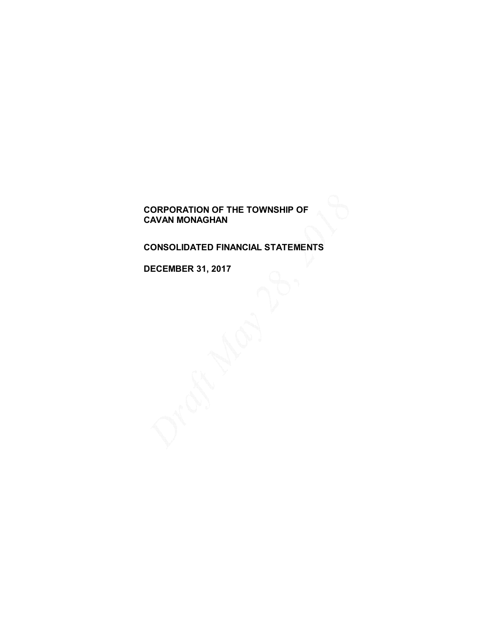### **CONSOLIDATED FINANCIAL STATEMENTS**

**DECEMBER 31, 2017**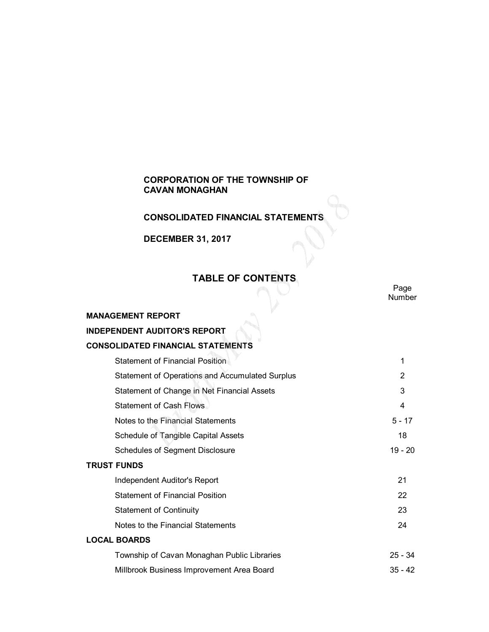## **CONSOLIDATED FINANCIAL STATEMENTS**

**DECEMBER 31, 2017**

# **TABLE OF CONTENTS**

Page Number

| <b>MANAGEMENT REPORT</b>                        |           |
|-------------------------------------------------|-----------|
| <b>INDEPENDENT AUDITOR'S REPORT</b>             |           |
| <b>CONSOLIDATED FINANCIAL STATEMENTS</b>        |           |
| <b>Statement of Financial Position</b>          |           |
| Statement of Operations and Accumulated Surplus | 2         |
| Statement of Change in Net Financial Assets     | 3         |
| Statement of Cash Flows                         | 4         |
| Notes to the Financial Statements               | $5 - 17$  |
| Schedule of Tangible Capital Assets             | 18        |
| <b>Schedules of Segment Disclosure</b>          | 19 - 20   |
| <b>TRUST FUNDS</b>                              |           |
| Independent Auditor's Report                    | 21        |
| <b>Statement of Financial Position</b>          | 22        |
| <b>Statement of Continuity</b>                  | 23        |
| Notes to the Financial Statements               | 24        |
| <b>LOCAL BOARDS</b>                             |           |
| Township of Cavan Monaghan Public Libraries     | $25 - 34$ |
| Millbrook Business Improvement Area Board       | $35 - 42$ |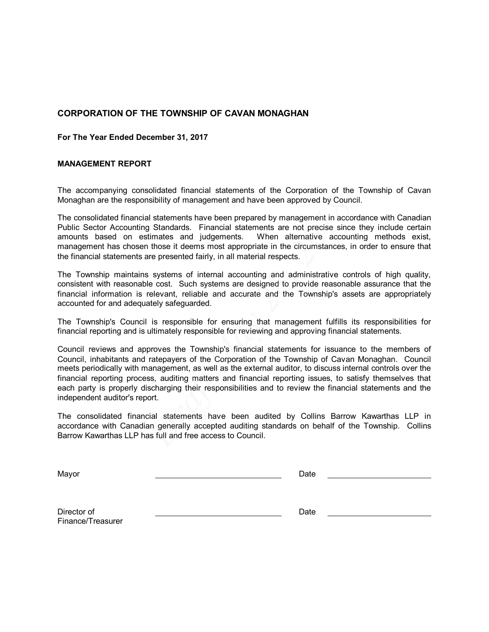### **For The Year Ended December 31, 2017**

### **MANAGEMENT REPORT**

The accompanying consolidated financial statements of the Corporation of the Township of Cavan Monaghan are the responsibility of management and have been approved by Council.

The consolidated financial statements have been prepared by management in accordance with Canadian Public Sector Accounting Standards. Financial statements are not precise since they include certain amounts based on estimates and judgements. When alternative accounting methods exist, management has chosen those it deems most appropriate in the circumstances, in order to ensure that the financial statements are presented fairly, in all material respects.

The Township maintains systems of internal accounting and administrative controls of high quality, consistent with reasonable cost. Such systems are designed to provide reasonable assurance that the financial information is relevant, reliable and accurate and the Township's assets are appropriately accounted for and adequately safeguarded.

The Township's Council is responsible for ensuring that management fulfills its responsibilities for financial reporting and is ultimately responsible for reviewing and approving financial statements.

Council reviews and approves the Township's financial statements for issuance to the members of Council, inhabitants and ratepayers of the Corporation of the Township of Cavan Monaghan. Council meets periodically with management, as well as the external auditor, to discuss internal controls over the financial reporting process, auditing matters and financial reporting issues, to satisfy themselves that each party is properly discharging their responsibilities and to review the financial statements and the independent auditor's report.

The consolidated financial statements have been audited by Collins Barrow Kawarthas LLP in accordance with Canadian generally accepted auditing standards on behalf of the Township. Collins Barrow Kawarthas LLP has full and free access to Council.

Mayor Date

Director of Finance/Treasurer Date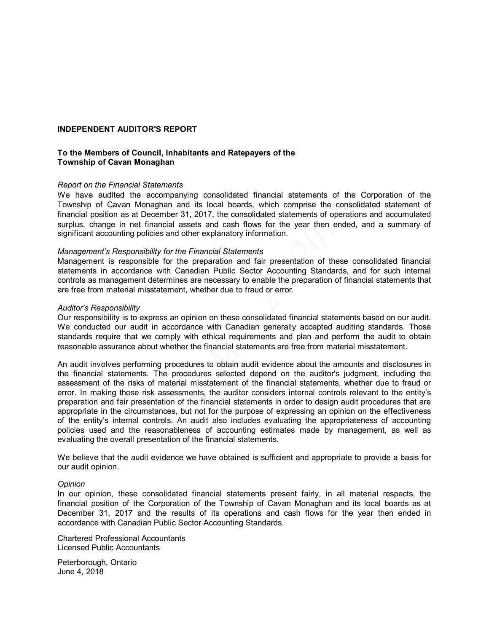### **INDEPENDENT AUDITOR'S REPORT**

### **To the Members of Council, Inhabitants and Ratepayers of the Township of Cavan Monaghan**

#### *Report on the Financial Statements*

We have audited the accompanying consolidated financial statements of the Corporation of the Township of Cavan Monaghan and its local boards, which comprise the consolidated statement of financial position as at December 31, 2017, the consolidated statements of operations and accumulated surplus, change in net financial assets and cash flows for the year then ended, and a summary of significant accounting policies and other explanatory information.

### *Management's Responsibility for the Financial Statements*

Management is responsible for the preparation and fair presentation of these consolidated financial statements in accordance with Canadian Public Sector Accounting Standards, and for such internal controls as management determines are necessary to enable the preparation of financial statements that are free from material misstatement, whether due to fraud or error.

### *Auditor's Responsibility*

Our responsibility is to express an opinion on these consolidated financial statements based on our audit. We conducted our audit in accordance with Canadian generally accepted auditing standards. Those standards require that we comply with ethical requirements and plan and perform the audit to obtain reasonable assurance about whether the financial statements are free from material misstatement.

An audit involves performing procedures to obtain audit evidence about the amounts and disclosures in the financial statements. The procedures selected depend on the auditor's judgment, including the assessment of the risks of material misstatement of the financial statements, whether due to fraud or error. In making those risk assessments, the auditor considers internal controls relevant to the entity's preparation and fair presentation of the financial statements in order to design audit procedures that are appropriate in the circumstances, but not for the purpose of expressing an opinion on the effectiveness of the entity's internal controls. An audit also includes evaluating the appropriateness of accounting policies used and the reasonableness of accounting estimates made by management, as well as evaluating the overall presentation of the financial statements.

We believe that the audit evidence we have obtained is sufficient and appropriate to provide a basis for our audit opinion.

#### *Opinion*

In our opinion, these consolidated financial statements present fairly, in all material respects, the financial position of the Corporation of the Township of Cavan Monaghan and its local boards as at December 31, 2017 and the results of its operations and cash flows for the year then ended in accordance with Canadian Public Sector Accounting Standards.

Chartered Professional Accountants Licensed Public Accountants

Peterborough, Ontario June 4, 2018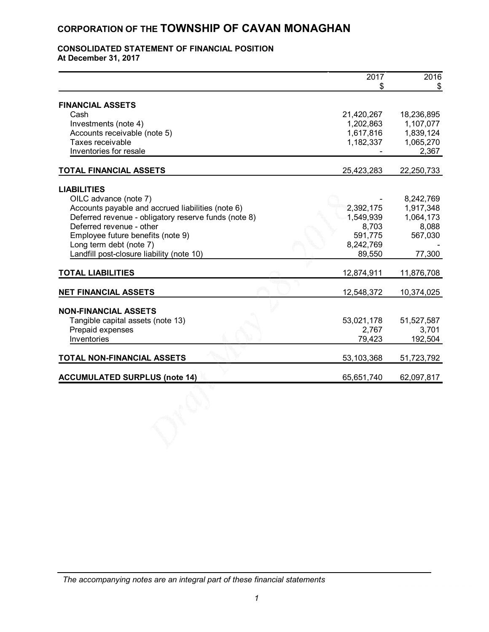## **CONSOLIDATED STATEMENT OF FINANCIAL POSITION**

**At December 31, 2017**

|                                                                  | 2017       | 2016       |
|------------------------------------------------------------------|------------|------------|
|                                                                  |            |            |
|                                                                  |            |            |
| <b>FINANCIAL ASSETS</b><br>Cash                                  | 21,420,267 | 18,236,895 |
| Investments (note 4)                                             | 1,202,863  | 1,107,077  |
| Accounts receivable (note 5)                                     | 1,617,816  | 1,839,124  |
| Taxes receivable                                                 | 1,182,337  | 1,065,270  |
| Inventories for resale                                           |            | 2,367      |
| TOTAL FINANCIAL ASSETS                                           | 25,423,283 | 22,250,733 |
|                                                                  |            |            |
| <b>LIABILITIES</b>                                               |            |            |
| OILC advance (note 7)                                            |            | 8,242,769  |
| Accounts payable and accrued liabilities (note 6)                | 2,392,175  | 1,917,348  |
| Deferred revenue - obligatory reserve funds (note 8)             | 1,549,939  | 1,064,173  |
| Deferred revenue - other                                         | 8,703      | 8,088      |
| Employee future benefits (note 9)                                | 591,775    | 567,030    |
| Long term debt (note 7)                                          | 8,242,769  |            |
| Landfill post-closure liability (note 10)                        | 89,550     | 77,300     |
| <b>TOTAL LIABILITIES</b>                                         | 12,874,911 | 11,876,708 |
|                                                                  |            |            |
| <b>NET FINANCIAL ASSETS</b>                                      | 12,548,372 | 10,374,025 |
|                                                                  |            |            |
| <b>NON-FINANCIAL ASSETS</b><br>Tangible capital assets (note 13) | 53,021,178 | 51,527,587 |
| Prepaid expenses                                                 | 2,767      | 3,701      |
| Inventories                                                      | 79,423     | 192,504    |
|                                                                  |            |            |
| TOTAL NON-FINANCIAL ASSETS                                       | 53,103,368 | 51,723,792 |
|                                                                  |            |            |
| <b>ACCUMULATED SURPLUS (note 14</b>                              | 65,651,740 | 62,097,817 |
|                                                                  |            |            |

 *The accompanying notes are an integral part of these financial statements*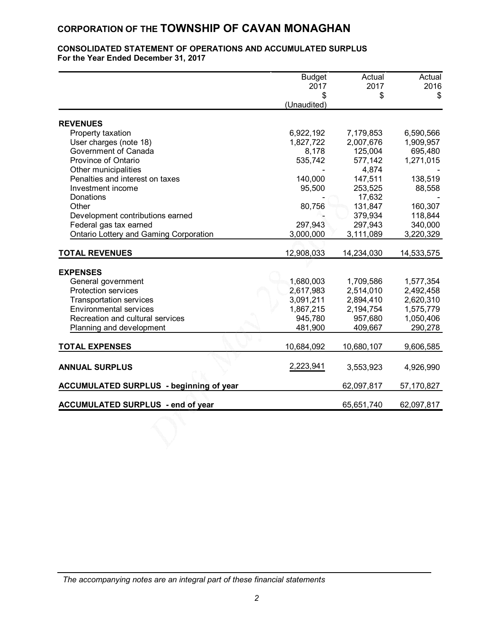### **CONSOLIDATED STATEMENT OF OPERATIONS AND ACCUMULATED SURPLUS For the Year Ended December 31, 2017**

|                                                | <b>Budget</b>        | Actual     | Actual               |
|------------------------------------------------|----------------------|------------|----------------------|
|                                                | 2017                 | 2017       | 2016                 |
|                                                | (Unaudited)          | \$         | \$                   |
|                                                |                      |            |                      |
| <b>REVENUES</b>                                |                      |            |                      |
| Property taxation                              | 6,922,192            | 7,179,853  | 6,590,566            |
| User charges (note 18)                         | 1,827,722            | 2,007,676  | 1,909,957            |
| Government of Canada                           | 8,178                | 125,004    | 695,480              |
| Province of Ontario                            | 535,742              | 577,142    | 1,271,015            |
| Other municipalities                           |                      | 4,874      |                      |
| Penalties and interest on taxes                | 140,000              | 147,511    | 138,519              |
| Investment income                              | 95,500               | 253,525    | 88,558               |
| <b>Donations</b>                               |                      | 17,632     |                      |
| Other                                          | 80,756               | 131,847    | 160,307              |
| Development contributions earned               |                      | 379,934    | 118,844              |
| Federal gas tax earned                         | 297,943<br>3,000,000 | 297,943    | 340,000<br>3,220,329 |
| Ontario Lottery and Gaming Corporation         |                      | 3,111,089  |                      |
| <b>TOTAL REVENUES</b>                          | 12,908,033           |            |                      |
|                                                |                      | 14,234,030 | 14,533,575           |
| <b>EXPENSES</b>                                |                      |            |                      |
| General government                             | 1,680,003            | 1,709,586  | 1,577,354            |
| <b>Protection services</b>                     | 2,617,983            | 2,514,010  | 2,492,458            |
| <b>Transportation services</b>                 | 3,091,211            | 2,894,410  | 2,620,310            |
| <b>Environmental services</b>                  | 1,867,215            | 2,194,754  | 1,575,779            |
| Recreation and cultural services               | 945,780              | 957,680    | 1,050,406            |
| Planning and development                       | 481,900              | 409,667    | 290,278              |
|                                                |                      |            |                      |
| <b>TOTAL EXPENSES</b>                          | 10,684,092           | 10,680,107 | 9,606,585            |
| <b>ANNUAL SURPLUS</b>                          | 2,223,941            | 3,553,923  | 4,926,990            |
| <b>ACCUMULATED SURPLUS</b> - beginning of year |                      | 62,097,817 | 57,170,827           |
| <b>ACCUMULATED SURPLUS - end of year</b>       |                      | 65,651,740 | 62,097,817           |

*The accompanying notes are an integral part of these financial statements*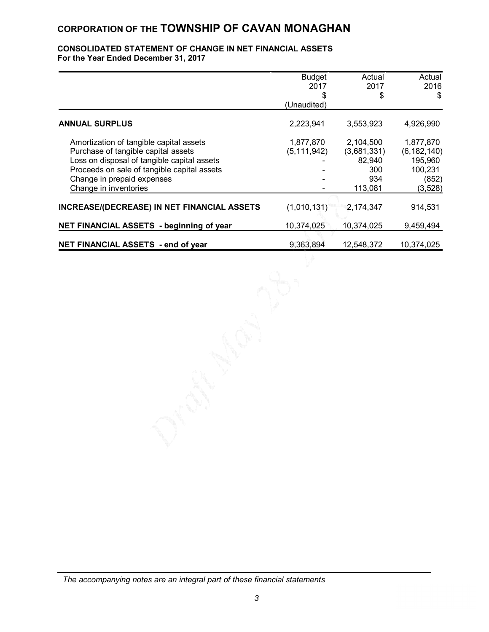### **CONSOLIDATED STATEMENT OF CHANGE IN NET FINANCIAL ASSETS For the Year Ended December 31, 2017**

|                                                                                                                                                                                                                                     | <b>Budget</b><br>2017      | Actual<br>2017                                              | Actual<br>2016                                                        |
|-------------------------------------------------------------------------------------------------------------------------------------------------------------------------------------------------------------------------------------|----------------------------|-------------------------------------------------------------|-----------------------------------------------------------------------|
|                                                                                                                                                                                                                                     | (Unaudited)                | \$                                                          | \$                                                                    |
| <b>ANNUAL SURPLUS</b>                                                                                                                                                                                                               | 2,223,941                  | 3,553,923                                                   | 4,926,990                                                             |
| Amortization of tangible capital assets<br>Purchase of tangible capital assets<br>Loss on disposal of tangible capital assets<br>Proceeds on sale of tangible capital assets<br>Change in prepaid expenses<br>Change in inventories | 1,877,870<br>(5, 111, 942) | 2,104,500<br>(3,681,331)<br>82,940<br>300<br>934<br>113,081 | 1,877,870<br>(6, 182, 140)<br>195,960<br>100,231<br>(852)<br>(3, 528) |
| INCREASE/(DECREASE) IN NET FINANCIAL ASSETS                                                                                                                                                                                         | (1,010,131)                | 2,174,347                                                   | 914,531                                                               |
| NET FINANCIAL ASSETS - beginning of year                                                                                                                                                                                            | 10,374,025                 | 10,374,025                                                  | 9,459,494                                                             |
| NET FINANCIAL ASSETS - end of year                                                                                                                                                                                                  | 9,363,894                  | 12,548,372                                                  | 10,374,025                                                            |
|                                                                                                                                                                                                                                     |                            |                                                             |                                                                       |

CONSTRUCTION

 *The accompanying notes are an integral part of these financial statements*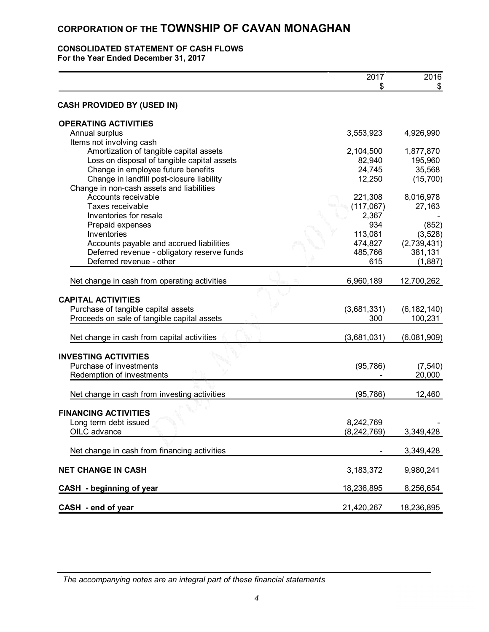### **CONSOLIDATED STATEMENT OF CASH FLOWS**

**For the Year Ended December 31, 2017**

|                                                        | 2017<br>\$    | 2016<br>\$    |
|--------------------------------------------------------|---------------|---------------|
| <b>CASH PROVIDED BY (USED IN)</b>                      |               |               |
| <b>OPERATING ACTIVITIES</b>                            |               |               |
| Annual surplus                                         | 3,553,923     | 4,926,990     |
| Items not involving cash                               |               |               |
| Amortization of tangible capital assets                | 2,104,500     | 1,877,870     |
| Loss on disposal of tangible capital assets            | 82,940        | 195,960       |
| Change in employee future benefits                     | 24,745        | 35,568        |
| Change in landfill post-closure liability              | 12,250        | (15,700)      |
| Change in non-cash assets and liabilities              |               |               |
| Accounts receivable                                    | 221,308       | 8,016,978     |
| Taxes receivable                                       | (117,067)     | 27,163        |
| Inventories for resale                                 | 2,367         |               |
| Prepaid expenses                                       | 934           | (852)         |
| Inventories                                            | 113,081       | (3,528)       |
| Accounts payable and accrued liabilities               | 474,827       | (2,739,431)   |
| Deferred revenue - obligatory reserve funds            | 485,766       | 381,131       |
| Deferred revenue - other                               | 615           | (1,887)       |
|                                                        |               |               |
| Net change in cash from operating activities           | 6,960,189     | 12,700,262    |
|                                                        |               |               |
| <b>CAPITAL ACTIVITIES</b>                              |               |               |
| Purchase of tangible capital assets                    | (3,681,331)   | (6, 182, 140) |
| Proceeds on sale of tangible capital assets            | 300           | 100,231       |
| Net change in cash from capital activities             | (3,681,031)   | (6,081,909)   |
| <b>INVESTING ACTIVITIES</b><br>Purchase of investments | (95, 786)     | (7, 540)      |
| Redemption of investments                              |               | 20,000        |
| Net change in cash from investing activities           | (95, 786)     | 12,460        |
|                                                        |               |               |
| <b>FINANCING ACTIVITIES</b>                            |               |               |
| Long term debt issued                                  | 8,242,769     |               |
| OILC advance                                           | (8, 242, 769) | 3,349,428     |
|                                                        |               |               |
| Net change in cash from financing activities           |               | 3,349,428     |
|                                                        |               |               |
| <b>NET CHANGE IN CASH</b>                              | 3,183,372     | 9,980,241     |
|                                                        |               |               |
| CASH - beginning of year                               | 18,236,895    | 8,256,654     |
|                                                        |               |               |
| CASH - end of year                                     | 21,420,267    | 18,236,895    |

 *The accompanying notes are an integral part of these financial statements*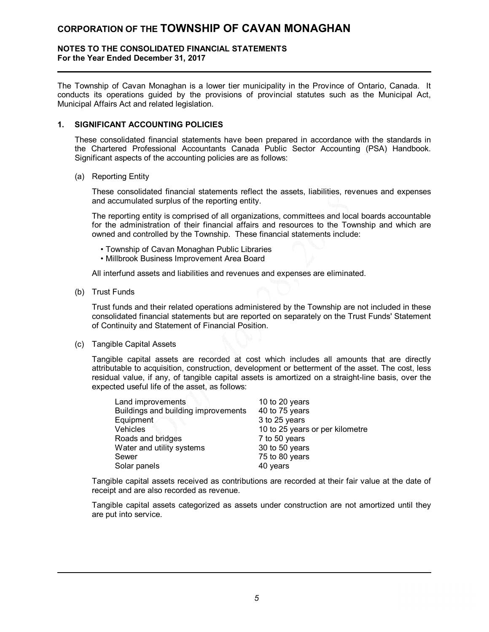### **NOTES TO THE CONSOLIDATED FINANCIAL STATEMENTS For the Year Ended December 31, 2017**

The Township of Cavan Monaghan is a lower tier municipality in the Province of Ontario, Canada. It conducts its operations guided by the provisions of provincial statutes such as the Municipal Act, Municipal Affairs Act and related legislation.

### **1. SIGNIFICANT ACCOUNTING POLICIES**

These consolidated financial statements have been prepared in accordance with the standards in the Chartered Professional Accountants Canada Public Sector Accounting (PSA) Handbook. Significant aspects of the accounting policies are as follows:

### (a) Reporting Entity

These consolidated financial statements reflect the assets, liabilities, revenues and expenses and accumulated surplus of the reporting entity.

The reporting entity is comprised of all organizations, committees and local boards accountable for the administration of their financial affairs and resources to the Township and which are owned and controlled by the Township. These financial statements include:

- Township of Cavan Monaghan Public Libraries
- Millbrook Business Improvement Area Board

All interfund assets and liabilities and revenues and expenses are eliminated.

(b) Trust Funds

Trust funds and their related operations administered by the Township are not included in these consolidated financial statements but are reported on separately on the Trust Funds' Statement of Continuity and Statement of Financial Position.

### (c) Tangible Capital Assets

Tangible capital assets are recorded at cost which includes all amounts that are directly attributable to acquisition, construction, development or betterment of the asset. The cost, less residual value, if any, of tangible capital assets is amortized on a straight-line basis, over the expected useful life of the asset, as follows:

| Land improvements                   | 10 to 20 years                  |
|-------------------------------------|---------------------------------|
| Buildings and building improvements | 40 to 75 years                  |
| Equipment                           | 3 to 25 years                   |
| Vehicles                            | 10 to 25 years or per kilometre |
| Roads and bridges                   | 7 to 50 years                   |
| Water and utility systems           | 30 to 50 years                  |
| Sewer                               | 75 to 80 years                  |
| Solar panels                        | 40 years                        |
|                                     |                                 |

Tangible capital assets received as contributions are recorded at their fair value at the date of receipt and are also recorded as revenue.

Tangible capital assets categorized as assets under construction are not amortized until they are put into service.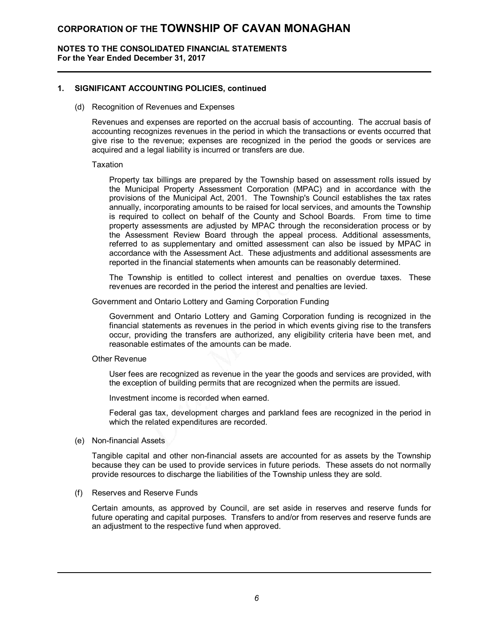**NOTES TO THE CONSOLIDATED FINANCIAL STATEMENTS For the Year Ended December 31, 2017**

### **1. SIGNIFICANT ACCOUNTING POLICIES, continued**

(d) Recognition of Revenues and Expenses

Revenues and expenses are reported on the accrual basis of accounting. The accrual basis of accounting recognizes revenues in the period in which the transactions or events occurred that give rise to the revenue; expenses are recognized in the period the goods or services are acquired and a legal liability is incurred or transfers are due.

### Taxation

Property tax billings are prepared by the Township based on assessment rolls issued by the Municipal Property Assessment Corporation (MPAC) and in accordance with the provisions of the Municipal Act, 2001. The Township's Council establishes the tax rates annually, incorporating amounts to be raised for local services, and amounts the Township is required to collect on behalf of the County and School Boards. From time to time property assessments are adjusted by MPAC through the reconsideration process or by the Assessment Review Board through the appeal process. Additional assessments, referred to as supplementary and omitted assessment can also be issued by MPAC in accordance with the Assessment Act. These adjustments and additional assessments are reported in the financial statements when amounts can be reasonably determined.

The Township is entitled to collect interest and penalties on overdue taxes. These revenues are recorded in the period the interest and penalties are levied.

### Government and Ontario Lottery and Gaming Corporation Funding

Government and Ontario Lottery and Gaming Corporation funding is recognized in the financial statements as revenues in the period in which events giving rise to the transfers occur, providing the transfers are authorized, any eligibility criteria have been met, and reasonable estimates of the amounts can be made.

#### Other Revenue

User fees are recognized as revenue in the year the goods and services are provided, with the exception of building permits that are recognized when the permits are issued.

Investment income is recorded when earned.

Federal gas tax, development charges and parkland fees are recognized in the period in which the related expenditures are recorded.

(e) Non-financial Assets

Tangible capital and other non-financial assets are accounted for as assets by the Township because they can be used to provide services in future periods. These assets do not normally provide resources to discharge the liabilities of the Township unless they are sold.

### (f) Reserves and Reserve Funds

Certain amounts, as approved by Council, are set aside in reserves and reserve funds for future operating and capital purposes. Transfers to and/or from reserves and reserve funds are an adjustment to the respective fund when approved.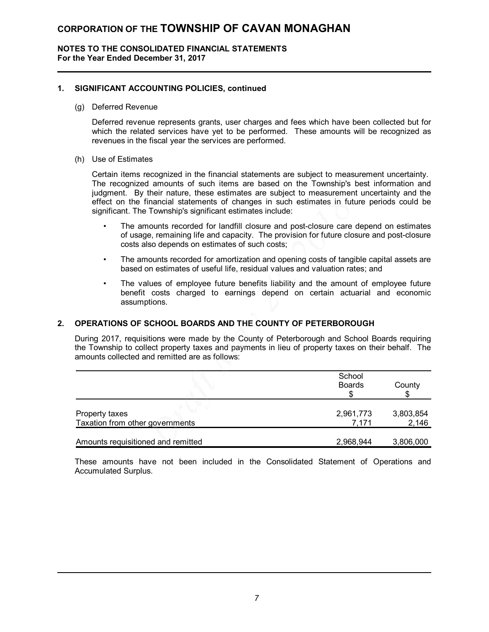**NOTES TO THE CONSOLIDATED FINANCIAL STATEMENTS For the Year Ended December 31, 2017**

### **1. SIGNIFICANT ACCOUNTING POLICIES, continued**

(g) Deferred Revenue

Deferred revenue represents grants, user charges and fees which have been collected but for which the related services have yet to be performed. These amounts will be recognized as revenues in the fiscal year the services are performed.

(h) Use of Estimates

Certain items recognized in the financial statements are subject to measurement uncertainty. The recognized amounts of such items are based on the Township's best information and judgment. By their nature, these estimates are subject to measurement uncertainty and the effect on the financial statements of changes in such estimates in future periods could be significant. The Township's significant estimates include:

- The amounts recorded for landfill closure and post-closure care depend on estimates of usage, remaining life and capacity. The provision for future closure and post-closure costs also depends on estimates of such costs;
- The amounts recorded for amortization and opening costs of tangible capital assets are based on estimates of useful life, residual values and valuation rates; and
- The values of employee future benefits liability and the amount of employee future benefit costs charged to earnings depend on certain actuarial and economic assumptions.

### **2. OPERATIONS OF SCHOOL BOARDS AND THE COUNTY OF PETERBOROUGH**

During 2017, requisitions were made by the County of Peterborough and School Boards requiring the Township to collect property taxes and payments in lieu of property taxes on their behalf. The amounts collected and remitted are as follows:

|                                                   | School<br><b>Boards</b> | County             |
|---------------------------------------------------|-------------------------|--------------------|
| Property taxes<br>Taxation from other governments | 2,961,773<br>7,171      | 3,803,854<br>2,146 |
| Amounts requisitioned and remitted                | 2,968,944               | 3,806,000          |

These amounts have not been included in the Consolidated Statement of Operations and Accumulated Surplus.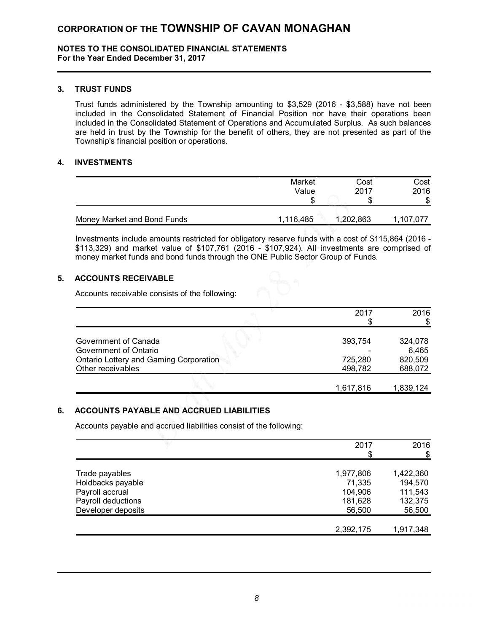### **NOTES TO THE CONSOLIDATED FINANCIAL STATEMENTS For the Year Ended December 31, 2017**

### **3. TRUST FUNDS**

Trust funds administered by the Township amounting to \$3,529 (2016 - \$3,588) have not been included in the Consolidated Statement of Financial Position nor have their operations been included in the Consolidated Statement of Operations and Accumulated Surplus. As such balances are held in trust by the Township for the benefit of others, they are not presented as part of the Township's financial position or operations.

### **4. INVESTMENTS**

|                             | Market<br>Value | Cost<br>2017 | Cost<br>2016<br>\$ |
|-----------------------------|-----------------|--------------|--------------------|
| Money Market and Bond Funds | 1,116,485       | 1,202,863    |                    |

Investments include amounts restricted for obligatory reserve funds with a cost of \$115,864 (2016 - \$113,329) and market value of \$107,761 (2016 - \$107,924). All investments are comprised of money market funds and bond funds through the ONE Public Sector Group of Funds.

### **5. ACCOUNTS RECEIVABLE**

Accounts receivable consists of the following:

|                                               | 2017      | 2016      |
|-----------------------------------------------|-----------|-----------|
|                                               |           |           |
|                                               |           |           |
| Government of Canada                          | 393,754   | 324,078   |
| Government of Ontario                         |           | 6,465     |
| <b>Ontario Lottery and Gaming Corporation</b> | 725,280   | 820,509   |
| Other receivables                             | 498,782   | 688,072   |
|                                               |           |           |
|                                               | 1,617,816 | 1,839,124 |

### **6. ACCOUNTS PAYABLE AND ACCRUED LIABILITIES**

Accounts payable and accrued liabilities consist of the following:

|                    | 2017      | 2016      |
|--------------------|-----------|-----------|
|                    |           | \$        |
| Trade payables     | 1,977,806 | 1,422,360 |
| Holdbacks payable  | 71,335    | 194,570   |
| Payroll accrual    | 104,906   | 111,543   |
| Payroll deductions | 181,628   | 132,375   |
| Developer deposits | 56,500    | 56,500    |
|                    |           |           |
|                    | 2,392,175 | 1,917,348 |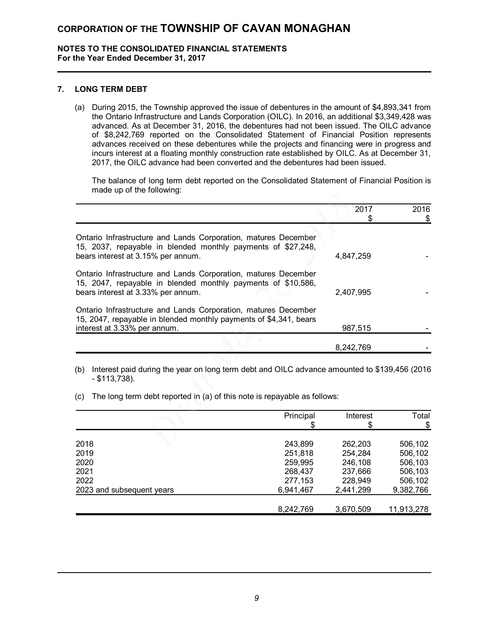### **NOTES TO THE CONSOLIDATED FINANCIAL STATEMENTS For the Year Ended December 31, 2017**

### **7. LONG TERM DEBT**

(a) During 2015, the Township approved the issue of debentures in the amount of \$4,893,341 from the Ontario Infrastructure and Lands Corporation (OILC). In 2016, an additional \$3,349,428 was advanced. As at December 31, 2016, the debentures had not been issued. The OILC advance of \$8,242,769 reported on the Consolidated Statement of Financial Position represents advances received on these debentures while the projects and financing were in progress and incurs interest at a floating monthly construction rate established by OILC. As at December 31, 2017, the OILC advance had been converted and the debentures had been issued.

The balance of long term debt reported on the Consolidated Statement of Financial Position is made up of the following:

|                                                                                                                                | 2016<br>2017 |
|--------------------------------------------------------------------------------------------------------------------------------|--------------|
|                                                                                                                                |              |
| Ontario Infrastructure and Lands Corporation, matures December                                                                 |              |
| 15, 2037, repayable in blended monthly payments of \$27,248,                                                                   |              |
| bears interest at 3.15% per annum.<br>4,847,259                                                                                |              |
| Ontario Infrastructure and Lands Corporation, matures December<br>15, 2047, repayable in blended monthly payments of \$10,586, |              |
| bears interest at 3.33% per annum.<br>2,407,995                                                                                |              |
| Ontario Infrastructure and Lands Corporation, matures December                                                                 |              |
| 15, 2047, repayable in blended monthly payments of \$4,341, bears                                                              |              |
| interest at 3.33% per annum.<br>987.515                                                                                        |              |
|                                                                                                                                |              |
| 8.242.769                                                                                                                      |              |

- (b) Interest paid during the year on long term debt and OILC advance amounted to \$139,456 (2016 - \$113,738).
- (c) The long term debt reported in (a) of this note is repayable as follows:

|                           | Principal | Interest  | Total      |
|---------------------------|-----------|-----------|------------|
|                           |           |           |            |
|                           |           |           |            |
| 2018                      | 243,899   | 262,203   | 506,102    |
| 2019                      | 251,818   | 254,284   | 506,102    |
| 2020                      | 259,995   | 246,108   | 506,103    |
| 2021                      | 268,437   | 237,666   | 506,103    |
| 2022                      | 277,153   | 228,949   | 506,102    |
| 2023 and subsequent years | 6,941,467 | 2,441,299 | 9,382,766  |
|                           |           |           |            |
|                           | 8,242,769 | 3,670,509 | 11,913,278 |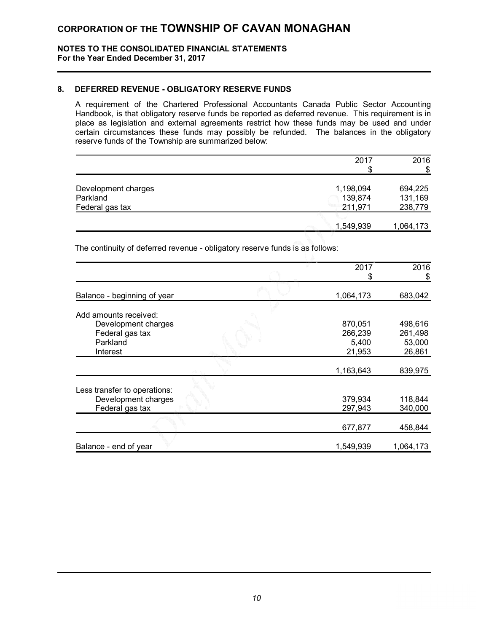### **NOTES TO THE CONSOLIDATED FINANCIAL STATEMENTS For the Year Ended December 31, 2017**

### **8. DEFERRED REVENUE - OBLIGATORY RESERVE FUNDS**

A requirement of the Chartered Professional Accountants Canada Public Sector Accounting Handbook, is that obligatory reserve funds be reported as deferred revenue. This requirement is in place as legislation and external agreements restrict how these funds may be used and under certain circumstances these funds may possibly be refunded. The balances in the obligatory reserve funds of the Township are summarized below:

|                     | 2017      | 2016      |
|---------------------|-----------|-----------|
|                     |           | \$        |
| Development charges | 1,198,094 | 694,225   |
| Parkland            | 139,874   | 131,169   |
| Federal gas tax     | 211,971   | 238,779   |
|                     |           |           |
|                     | 1,549,939 | 1,064,173 |

The continuity of deferred revenue - obligatory reserve funds is as follows:

|                              | 2017      | 2016      |
|------------------------------|-----------|-----------|
|                              | 5         | \$        |
|                              |           |           |
| Balance - beginning of year  | 1,064,173 | 683,042   |
|                              |           |           |
| Add amounts received:        |           |           |
| Development charges          | 870,051   | 498,616   |
| Federal gas tax              | 266,239   | 261,498   |
| Parkland                     | 5,400     | 53,000    |
| Interest                     | 21,953    | 26,861    |
|                              |           |           |
|                              | 1,163,643 | 839,975   |
|                              |           |           |
| Less transfer to operations: |           |           |
| Development charges          | 379,934   | 118,844   |
| Federal gas tax              | 297,943   | 340,000   |
|                              |           |           |
|                              | 677,877   | 458,844   |
|                              |           |           |
| Balance - end of year        | 1,549,939 | 1,064,173 |
|                              |           |           |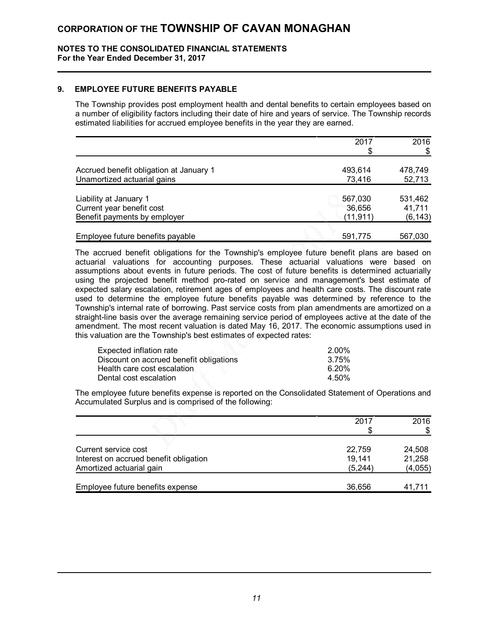### **NOTES TO THE CONSOLIDATED FINANCIAL STATEMENTS For the Year Ended December 31, 2017**

### **9. EMPLOYEE FUTURE BENEFITS PAYABLE**

The Township provides post employment health and dental benefits to certain employees based on a number of eligibility factors including their date of hire and years of service. The Township records estimated liabilities for accrued employee benefits in the year they are earned.

|                                         | 2017      | 2016     |
|-----------------------------------------|-----------|----------|
|                                         |           |          |
| Accrued benefit obligation at January 1 | 493,614   | 478,749  |
| Unamortized actuarial gains             | 73,416    | 52,713   |
| Liability at January 1                  | 567,030   | 531,462  |
| Current year benefit cost               | 36,656    | 41,711   |
| Benefit payments by employer            | (11, 911) | (6, 143) |
|                                         |           |          |
| Employee future benefits payable        | 591.775   | 567,030  |

The accrued benefit obligations for the Township's employee future benefit plans are based on actuarial valuations for accounting purposes. These actuarial valuations were based on assumptions about events in future periods. The cost of future benefits is determined actuarially using the projected benefit method pro-rated on service and management's best estimate of expected salary escalation, retirement ages of employees and health care costs. The discount rate used to determine the employee future benefits payable was determined by reference to the Township's internal rate of borrowing. Past service costs from plan amendments are amortized on a straight-line basis over the average remaining service period of employees active at the date of the amendment. The most recent valuation is dated May 16, 2017. The economic assumptions used in this valuation are the Township's best estimates of expected rates:

| Expected inflation rate                 | 2.00% |
|-----------------------------------------|-------|
| Discount on accrued benefit obligations | 3.75% |
| Health care cost escalation.            | 6.20% |
| Dental cost escalation                  | 4.50% |

The employee future benefits expense is reported on the Consolidated Statement of Operations and Accumulated Surplus and is comprised of the following:

|                                                                                            | 2017                         | 2016                        |
|--------------------------------------------------------------------------------------------|------------------------------|-----------------------------|
| Current service cost<br>Interest on accrued benefit obligation<br>Amortized actuarial gain | 22,759<br>19,141<br>(5, 244) | 24,508<br>21,258<br>(4,055) |
| Employee future benefits expense                                                           | 36,656                       | 41,711                      |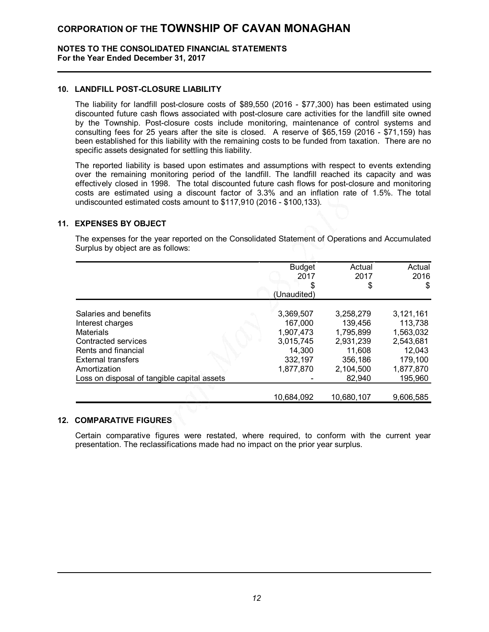### **NOTES TO THE CONSOLIDATED FINANCIAL STATEMENTS For the Year Ended December 31, 2017**

### **10. LANDFILL POST-CLOSURE LIABILITY**

The liability for landfill post-closure costs of \$89,550 (2016 - \$77,300) has been estimated using discounted future cash flows associated with post-closure care activities for the landfill site owned by the Township. Post-closure costs include monitoring, maintenance of control systems and consulting fees for 25 years after the site is closed. A reserve of \$65,159 (2016 - \$71,159) has been established for this liability with the remaining costs to be funded from taxation. There are no specific assets designated for settling this liability.

The reported liability is based upon estimates and assumptions with respect to events extending over the remaining monitoring period of the landfill. The landfill reached its capacity and was effectively closed in 1998. The total discounted future cash flows for post-closure and monitoring costs are estimated using a discount factor of 3.3% and an inflation rate of 1.5%. The total undiscounted estimated costs amount to \$117,910 (2016 - \$100,133).

### **11. EXPENSES BY OBJECT**

The expenses for the year reported on the Consolidated Statement of Operations and Accumulated Surplus by object are as follows:

|                                             | <b>Budget</b> | Actual     | Actual    |
|---------------------------------------------|---------------|------------|-----------|
|                                             | 2017          | 2017       | 2016      |
|                                             | J.            | \$         | S         |
|                                             | (Unaudited)   |            |           |
|                                             |               |            |           |
| Salaries and benefits                       | 3,369,507     | 3,258,279  | 3,121,161 |
| Interest charges                            | 167.000       | 139.456    | 113,738   |
| <b>Materials</b>                            | 1,907,473     | 1,795,899  | 1,563,032 |
| Contracted services                         | 3,015,745     | 2,931,239  | 2,543,681 |
| Rents and financial                         | 14.300        | 11.608     | 12.043    |
| <b>External transfers</b>                   | 332,197       | 356,186    | 179,100   |
| Amortization                                | 1,877,870     | 2,104,500  | 1,877,870 |
| Loss on disposal of tangible capital assets |               | 82,940     | 195,960   |
|                                             |               |            |           |
|                                             | 10,684,092    | 10,680,107 | 9,606,585 |
|                                             |               |            |           |

### **12. COMPARATIVE FIGURES**

Certain comparative figures were restated, where required, to conform with the current year presentation. The reclassifications made had no impact on the prior year surplus.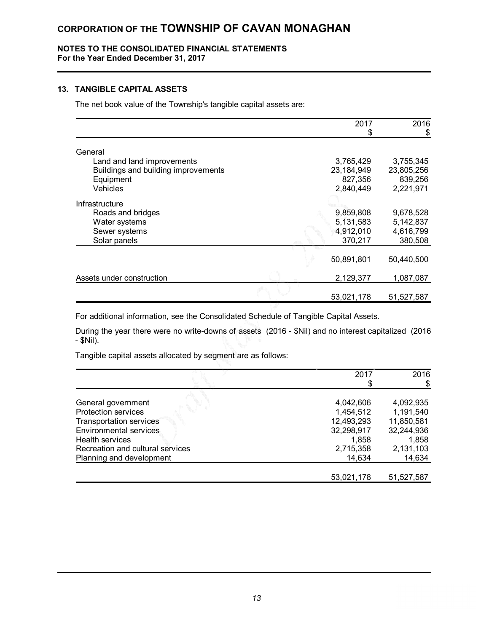### **NOTES TO THE CONSOLIDATED FINANCIAL STATEMENTS For the Year Ended December 31, 2017**

### **13. TANGIBLE CAPITAL ASSETS**

The net book value of the Township's tangible capital assets are:

|                                     | 2017       | 2016       |
|-------------------------------------|------------|------------|
|                                     | S          | \$         |
| General                             |            |            |
| Land and land improvements          | 3,765,429  | 3,755,345  |
| Buildings and building improvements | 23,184,949 | 23,805,256 |
| Equipment                           | 827,356    | 839,256    |
| Vehicles                            | 2,840,449  | 2,221,971  |
| Infrastructure                      |            |            |
| Roads and bridges                   | 9,859,808  | 9,678,528  |
| Water systems                       | 5,131,583  | 5,142,837  |
| Sewer systems                       | 4,912,010  | 4,616,799  |
| Solar panels                        | 370,217    | 380,508    |
|                                     |            |            |
|                                     | 50,891,801 | 50,440,500 |
| Assets under construction           | 2,129,377  | 1,087,087  |
|                                     |            |            |
|                                     | 53,021,178 | 51,527,587 |

For additional information, see the Consolidated Schedule of Tangible Capital Assets.

During the year there were no write-downs of assets (2016 - \$Nil) and no interest capitalized (2016 - \$Nil).

Tangible capital assets allocated by segment are as follows:

|                                                  | 2017                   | 2016                   |
|--------------------------------------------------|------------------------|------------------------|
|                                                  |                        | \$                     |
| General government<br><b>Protection services</b> | 4,042,606<br>1,454,512 | 4,092,935<br>1,191,540 |
| Transportation services                          | 12,493,293             | 11,850,581             |
| Environmental services                           | 32,298,917             | 32,244,936             |
| Health services                                  | 1,858                  | 1,858                  |
| Recreation and cultural services                 | 2,715,358              | 2,131,103              |
| Planning and development                         | 14,634                 | 14,634                 |
|                                                  |                        |                        |
|                                                  | 53,021,178             | 51,527,587             |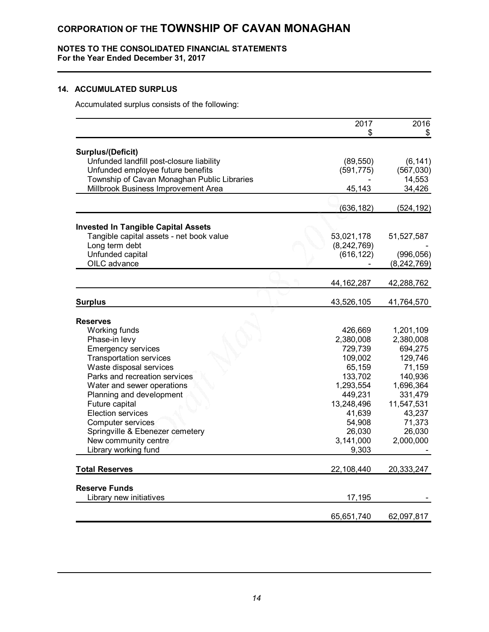### **NOTES TO THE CONSOLIDATED FINANCIAL STATEMENTS For the Year Ended December 31, 2017**

### **14. ACCUMULATED SURPLUS**

Accumulated surplus consists of the following:

|                                                                                  | 2017          | 2016                |
|----------------------------------------------------------------------------------|---------------|---------------------|
|                                                                                  | \$            | \$                  |
|                                                                                  |               |                     |
| <b>Surplus/(Deficit)</b>                                                         |               |                     |
| Unfunded landfill post-closure liability                                         | (89, 550)     | (6, 141)            |
| Unfunded employee future benefits<br>Township of Cavan Monaghan Public Libraries | (591, 775)    | (567,030)<br>14,553 |
| Millbrook Business Improvement Area                                              | 45,143        | 34,426              |
|                                                                                  |               |                     |
|                                                                                  | (636, 182)    | (524, 192)          |
|                                                                                  |               |                     |
| <b>Invested In Tangible Capital Assets</b>                                       |               |                     |
| Tangible capital assets - net book value                                         | 53,021,178    | 51,527,587          |
| Long term debt                                                                   | (8, 242, 769) |                     |
| Unfunded capital                                                                 | (616, 122)    | (996, 056)          |
| OILC advance                                                                     |               | (8, 242, 769)       |
|                                                                                  |               |                     |
|                                                                                  | 44, 162, 287  | 42,288,762          |
|                                                                                  |               |                     |
| <b>Surplus</b>                                                                   | 43,526,105    | 41,764,570          |
|                                                                                  |               |                     |
| <b>Reserves</b>                                                                  |               |                     |
| Working funds                                                                    | 426,669       | 1,201,109           |
| Phase-in levy                                                                    | 2,380,008     | 2,380,008           |
| <b>Emergency services</b>                                                        | 729,739       | 694,275             |
| <b>Transportation services</b>                                                   | 109,002       | 129,746             |
| Waste disposal services                                                          | 65,159        | 71,159              |
| Parks and recreation services                                                    | 133,702       | 140,936             |
| Water and sewer operations                                                       | 1,293,554     | 1,696,364           |
| Planning and development                                                         | 449,231       | 331,479             |
| Future capital                                                                   | 13,248,496    | 11,547,531          |
| Election services                                                                | 41,639        | 43,237              |
| Computer services                                                                | 54,908        | 71,373              |
| Springville & Ebenezer cemetery                                                  | 26,030        | 26,030              |
| New community centre                                                             | 3,141,000     | 2,000,000           |
| Library working fund                                                             | 9,303         |                     |
|                                                                                  |               |                     |
| <b>Total Reserves</b>                                                            | 22,108,440    | 20,333,247          |
|                                                                                  |               |                     |
| <b>Reserve Funds</b>                                                             |               |                     |
| Library new initiatives                                                          | 17,195        |                     |
|                                                                                  |               |                     |
|                                                                                  | 65,651,740    | 62,097,817          |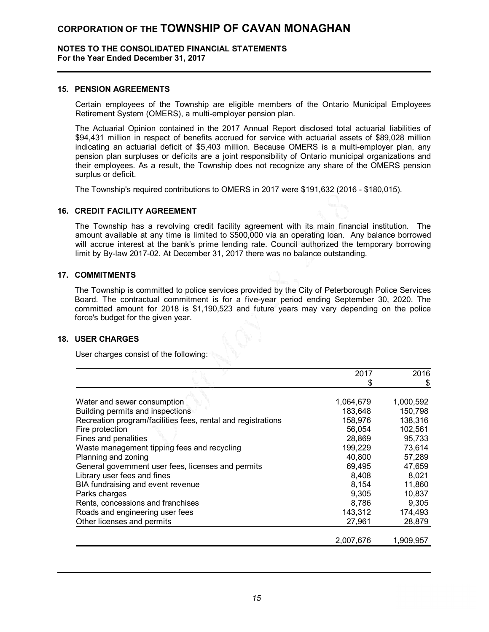### **NOTES TO THE CONSOLIDATED FINANCIAL STATEMENTS For the Year Ended December 31, 2017**

### **15. PENSION AGREEMENTS**

Certain employees of the Township are eligible members of the Ontario Municipal Employees Retirement System (OMERS), a multi-employer pension plan.

The Actuarial Opinion contained in the 2017 Annual Report disclosed total actuarial liabilities of \$94,431 million in respect of benefits accrued for service with actuarial assets of \$89,028 million indicating an actuarial deficit of \$5,403 million. Because OMERS is a multi-employer plan, any pension plan surpluses or deficits are a joint responsibility of Ontario municipal organizations and their employees. As a result, the Township does not recognize any share of the OMERS pension surplus or deficit.

The Township's required contributions to OMERS in 2017 were \$191,632 (2016 - \$180,015).

### **16. CREDIT FACILITY AGREEMENT**

The Township has a revolving credit facility agreement with its main financial institution. The amount available at any time is limited to \$500,000 via an operating loan. Any balance borrowed will accrue interest at the bank's prime lending rate. Council authorized the temporary borrowing limit by By-law 2017-02. At December 31, 2017 there was no balance outstanding.

### **17. COMMITMENTS**

The Township is committed to police services provided by the City of Peterborough Police Services Board. The contractual commitment is for a five-year period ending September 30, 2020. The committed amount for 2018 is \$1,190,523 and future vears may vary depending on the police force's budget for the given year.

#### **18. USER CHARGES**

User charges consist of the following:

|                                                              | 2017      | 2016      |
|--------------------------------------------------------------|-----------|-----------|
|                                                              | \$        | \$        |
|                                                              |           |           |
| Water and sewer consumption                                  | 1,064,679 | 1,000,592 |
| Building permits and inspections                             | 183,648   | 150,798   |
| Recreation program/facilities fees, rental and registrations | 158,976   | 138,316   |
| Fire protection                                              | 56,054    | 102,561   |
| Fines and penalities                                         | 28,869    | 95,733    |
| Waste management tipping fees and recycling                  | 199,229   | 73,614    |
| Planning and zoning                                          | 40,800    | 57,289    |
| General government user fees, licenses and permits           | 69,495    | 47,659    |
| Library user fees and fines                                  | 8,408     | 8,021     |
| BIA fundraising and event revenue                            | 8,154     | 11,860    |
| Parks charges                                                | 9,305     | 10,837    |
| Rents, concessions and franchises                            | 8,786     | 9,305     |
| Roads and engineering user fees                              | 143,312   | 174,493   |
| Other licenses and permits                                   | 27,961    | 28,879    |
|                                                              |           |           |
|                                                              | 2.007.676 | 1,909,957 |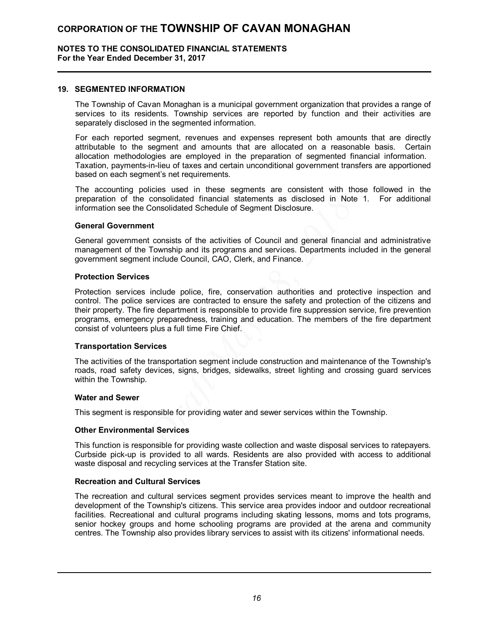### **NOTES TO THE CONSOLIDATED FINANCIAL STATEMENTS For the Year Ended December 31, 2017**

### **19. SEGMENTED INFORMATION**

The Township of Cavan Monaghan is a municipal government organization that provides a range of services to its residents. Township services are reported by function and their activities are separately disclosed in the segmented information.

For each reported segment, revenues and expenses represent both amounts that are directly attributable to the segment and amounts that are allocated on a reasonable basis. Certain allocation methodologies are employed in the preparation of segmented financial information. Taxation, payments-in-lieu of taxes and certain unconditional government transfers are apportioned based on each segment's net requirements.

The accounting policies used in these segments are consistent with those followed in the preparation of the consolidated financial statements as disclosed in Note 1. For additional information see the Consolidated Schedule of Segment Disclosure.

### **General Government**

General government consists of the activities of Council and general financial and administrative management of the Township and its programs and services. Departments included in the general government segment include Council, CAO, Clerk, and Finance.

### **Protection Services**

Protection services include police, fire, conservation authorities and protective inspection and control. The police services are contracted to ensure the safety and protection of the citizens and their property. The fire department is responsible to provide fire suppression service, fire prevention programs, emergency preparedness, training and education. The members of the fire department consist of volunteers plus a full time Fire Chief.

### **Transportation Services**

The activities of the transportation segment include construction and maintenance of the Township's roads, road safety devices, signs, bridges, sidewalks, street lighting and crossing guard services within the Township.

### **Water and Sewer**

This segment is responsible for providing water and sewer services within the Township.

### **Other Environmental Services**

This function is responsible for providing waste collection and waste disposal services to ratepayers. Curbside pick-up is provided to all wards. Residents are also provided with access to additional waste disposal and recycling services at the Transfer Station site.

### **Recreation and Cultural Services**

The recreation and cultural services segment provides services meant to improve the health and development of the Township's citizens. This service area provides indoor and outdoor recreational facilities. Recreational and cultural programs including skating lessons, moms and tots programs, senior hockey groups and home schooling programs are provided at the arena and community centres. The Township also provides library services to assist with its citizens' informational needs.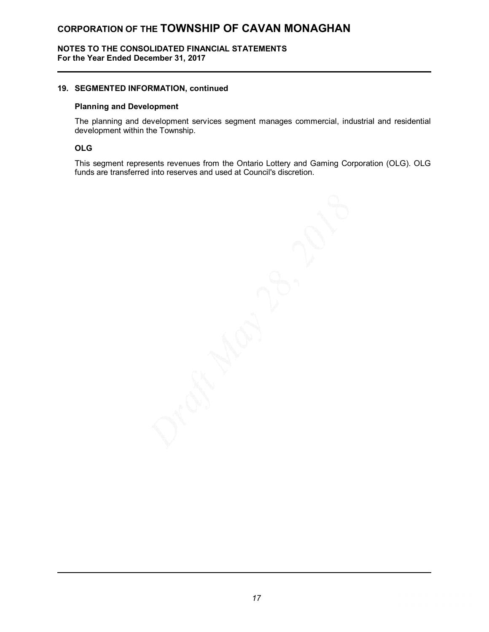### **NOTES TO THE CONSOLIDATED FINANCIAL STATEMENTS For the Year Ended December 31, 2017**

### **19. SEGMENTED INFORMATION, continued**

### **Planning and Development**

The planning and development services segment manages commercial, industrial and residential development within the Township.

### **OLG**

This segment represents revenues from the Ontario Lottery and Gaming Corporation (OLG). OLG funds are transferred into reserves and used at Council's discretion.

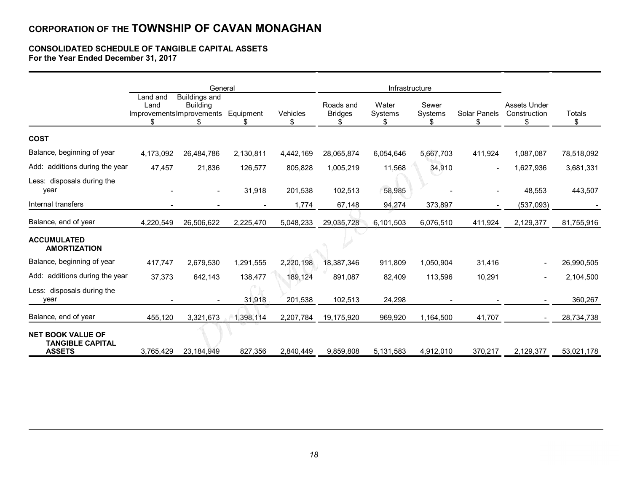### **CONSOLIDATED SCHEDULE OF TANGIBLE CAPITAL ASSETS**

**For the Year Ended December 31, 2017**

|                                                                      |                                                               | General                                       |           |                |                             | Infrastructure   |                  |                   |                                    |              |
|----------------------------------------------------------------------|---------------------------------------------------------------|-----------------------------------------------|-----------|----------------|-----------------------------|------------------|------------------|-------------------|------------------------------------|--------------|
|                                                                      | Land and<br>Land<br>ImprovementsImprovements Equipment<br>\$. | <b>Buildings and</b><br><b>Building</b><br>\$ | S         | Vehicles<br>\$ | Roads and<br><b>Bridges</b> | Water<br>Systems | Sewer<br>Systems | Solar Panels<br>S | Assets Under<br>Construction<br>\$ | Totals<br>\$ |
| <b>COST</b>                                                          |                                                               |                                               |           |                |                             |                  |                  |                   |                                    |              |
| Balance, beginning of year                                           | 4,173,092                                                     | 26,484,786                                    | 2,130,811 | 4,442,169      | 28,065,874                  | 6,054,646        | 5,667,703        | 411,924           | 1,087,087                          | 78,518,092   |
| Add: additions during the year                                       | 47,457                                                        | 21,836                                        | 126,577   | 805,828        | 1,005,219                   | 11,568           | 34,910           |                   | 1,627,936                          | 3,681,331    |
| Less: disposals during the<br>year                                   |                                                               |                                               | 31,918    | 201,538        | 102,513                     | 58,985           |                  |                   | 48,553                             | 443,507      |
| Internal transfers                                                   |                                                               |                                               |           | 1,774          | 67,148                      | 94,274           | 373,897          |                   | (537,093)                          |              |
| Balance, end of year                                                 | 4,220,549                                                     | 26,506,622                                    | 2,225,470 | 5,048,233      | 29,035,728                  | 6,101,503        | 6,076,510        | 411,924           | 2,129,377                          | 81,755,916   |
| <b>ACCUMULATED</b><br><b>AMORTIZATION</b>                            |                                                               |                                               |           |                |                             |                  |                  |                   |                                    |              |
| Balance, beginning of year                                           | 417,747                                                       | 2,679,530                                     | 1,291,555 | 2,220,198      | 18,387,346                  | 911,809          | 1,050,904        | 31,416            |                                    | 26,990,505   |
| Add: additions during the year                                       | 37,373                                                        | 642,143                                       | 138,477   | 189,124        | 891,087                     | 82,409           | 113,596          | 10,291            | $\overline{a}$                     | 2,104,500    |
| Less: disposals during the<br>year                                   |                                                               |                                               | 31,918    | 201,538        | 102,513                     | 24,298           |                  |                   |                                    | 360,267      |
| Balance, end of year                                                 | 455,120                                                       | 3,321,673                                     | 1398,114  | 2,207,784      | 19,175,920                  | 969,920          | 1,164,500        | 41,707            |                                    | 28,734,738   |
| <b>NET BOOK VALUE OF</b><br><b>TANGIBLE CAPITAL</b><br><b>ASSETS</b> | 3,765,429                                                     | 23,184,949                                    | 827,356   | 2,840,449      | 9,859,808                   | 5,131,583        | 4,912,010        | 370,217           | 2,129,377                          | 53,021,178   |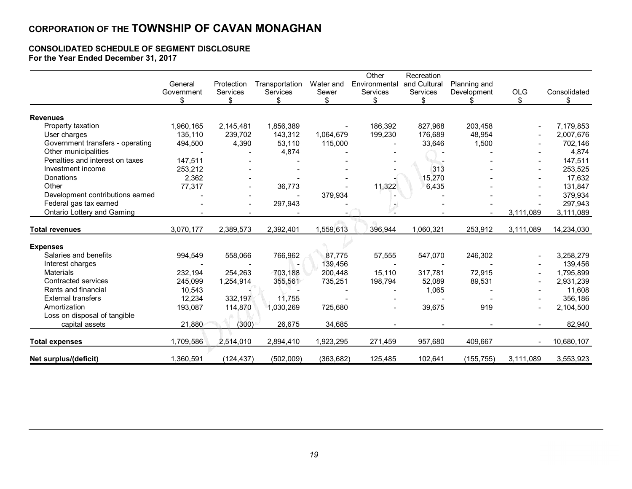### **CONSOLIDATED SCHEDULE OF SEGMENT DISCLOSURE**

**For the Year Ended December 31, 2017**

|                                   |            |             |                |            | Other         | Recreation   |              |            |              |
|-----------------------------------|------------|-------------|----------------|------------|---------------|--------------|--------------|------------|--------------|
|                                   | General    | Protection  | Transportation | Water and  | Environmental | and Cultural | Planning and |            |              |
|                                   | Government | Services    | Services       | Sewer      | Services      | Services     | Development  | <b>OLG</b> | Consolidated |
|                                   | \$         | \$          | \$             | \$         | \$            | \$           |              | \$         | \$           |
| <b>Revenues</b>                   |            |             |                |            |               |              |              |            |              |
| Property taxation                 | 1,960,165  | 2,145,481   | 1,856,389      |            | 186,392       | 827,968      | 203,458      |            | 7,179,853    |
| User charges                      | 135,110    | 239,702     | 143,312        | 1,064,679  | 199,230       | 176,689      | 48,954       |            | 2,007,676    |
| Government transfers - operating  | 494,500    | 4,390       | 53,110         | 115,000    |               | 33,646       | 1,500        |            | 702,146      |
| Other municipalities              |            |             | 4,874          |            |               |              |              |            | 4,874        |
| Penalties and interest on taxes   | 147,511    |             |                |            |               |              |              |            | 147,511      |
| Investment income                 | 253,212    |             |                |            |               | 313          |              |            | 253,525      |
| Donations                         | 2,362      |             |                |            |               | 15,270       |              |            | 17,632       |
| Other                             | 77,317     |             | 36,773         |            | 11,322        | 6,435        |              |            | 131,847      |
| Development contributions earned  |            |             |                | 379,934    |               |              |              |            | 379,934      |
| Federal gas tax earned            |            |             | 297,943        |            |               |              |              |            | 297,943      |
| <b>Ontario Lottery and Gaming</b> |            |             |                |            |               |              |              | 3,111,089  | 3,111,089    |
|                                   |            |             |                |            |               |              |              |            |              |
| <b>Total revenues</b>             | 3,070,177  | 2,389,573   | 2,392,401      | 1,559,613  | 396,944       | 1,060,321    | 253,912      | 3,111,089  | 14,234,030   |
|                                   |            |             |                |            |               |              |              |            |              |
| <b>Expenses</b>                   |            |             |                |            |               |              |              |            |              |
| Salaries and benefits             | 994,549    | 558,066     | 766,962        | 87,775     | 57,555        | 547,070      | 246,302      |            | 3,258,279    |
| Interest charges                  |            |             |                | 139,456    |               |              |              |            | 139,456      |
| <b>Materials</b>                  | 232,194    | 254,263     | 703,188        | 200,448    | 15,110        | 317,781      | 72,915       |            | 1,795,899    |
| Contracted services               | 245,099    | 1,254,914   | 355,561        | 735,251    | 198,794       | 52,089       | 89,531       |            | 2,931,239    |
| Rents and financial               | 10,543     |             |                |            |               | 1,065        |              |            | 11,608       |
| <b>External transfers</b>         | 12,234     | 332,197     | 11,755         |            |               |              |              |            | 356,186      |
| Amortization                      | 193,087    | 114,870     | ™1,030,269     | 725,680    |               | 39,675       | 919          |            | 2,104,500    |
| Loss on disposal of tangible      |            |             |                |            |               |              |              |            |              |
| capital assets                    | 21,880     | $(300)^{4}$ | 26,675         | 34,685     |               |              |              |            | 82,940       |
|                                   |            |             |                |            |               |              |              |            |              |
| <b>Total expenses</b>             | 1,709,586  | 2,514,010   | 2,894,410      | 1,923,295  | 271,459       | 957,680      | 409,667      |            | 10,680,107   |
| Net surplus/(deficit)             | 1,360,591  | (124, 437)  | (502,009)      | (363, 682) | 125,485       | 102,641      | (155, 755)   | 3,111,089  | 3,553,923    |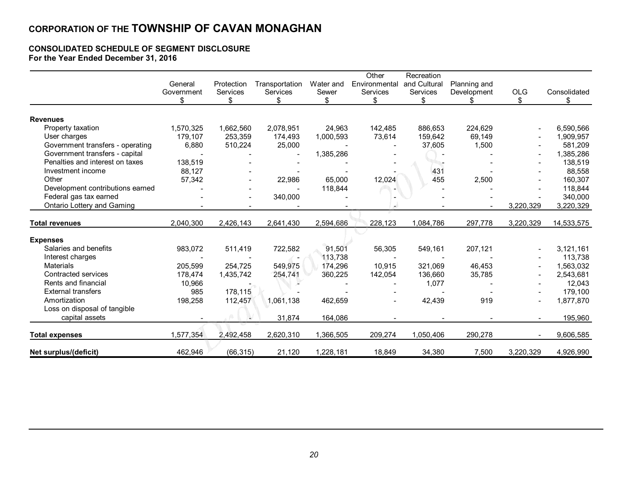# **CONSOLIDATED SCHEDULE OF SEGMENT DISCLOSURE**

**For the Year Ended December 31, 2016**

|                                   |            |            |                |                  | Other         | Recreation   |              |            |              |
|-----------------------------------|------------|------------|----------------|------------------|---------------|--------------|--------------|------------|--------------|
|                                   | General    | Protection | Transportation | Water and        | Environmental | and Cultural | Planning and |            |              |
|                                   | Government | Services   | Services       | Sewer            | Services      | Services     | Development  | <b>OLG</b> | Consolidated |
|                                   | \$         | \$         | \$             | \$               | \$            | \$           |              | \$         | \$           |
| <b>Revenues</b>                   |            |            |                |                  |               |              |              |            |              |
| Property taxation                 | 1,570,325  | 1,662,560  | 2,078,951      | 24,963           | 142,485       | 886,653      | 224,629      |            | 6,590,566    |
| User charges                      | 179,107    | 253,359    | 174,493        | 1,000,593        | 73,614        | 159,642      | 69,149       |            | 1,909,957    |
| Government transfers - operating  | 6,880      | 510,224    | 25,000         |                  |               | 37,605       | 1,500        |            | 581,209      |
| Government transfers - capital    |            |            |                | 1,385,286        |               |              |              |            | 1,385,286    |
| Penalties and interest on taxes   | 138,519    |            |                |                  |               |              |              |            | 138,519      |
| Investment income                 | 88,127     |            |                |                  |               | 431          |              |            | 88,558       |
| Other                             | 57,342     |            | 22,986         | 65,000           | 12,024        | 455          | 2,500        |            | 160,307      |
| Development contributions earned  |            |            |                | 118,844          |               |              |              |            | 118,844      |
| Federal gas tax earned            |            |            | 340,000        |                  |               |              |              |            | 340,000      |
| <b>Ontario Lottery and Gaming</b> |            |            |                |                  |               |              |              | 3,220,329  | 3,220,329    |
| <b>Total revenues</b>             | 2,040,300  | 2,426,143  | 2,641,430      | 2,594,686        | 228,123       | 1,084,786    | 297,778      | 3,220,329  | 14,533,575   |
|                                   |            |            |                |                  |               |              |              |            |              |
| <b>Expenses</b>                   |            |            |                |                  |               |              |              |            |              |
| Salaries and benefits             | 983,072    | 511,419    | 722,582        | $^{\circ}91,501$ | 56,305        | 549,161      | 207,121      |            | 3,121,161    |
| Interest charges                  |            |            |                | 113,738          |               |              |              |            | 113,738      |
| <b>Materials</b>                  | 205,599    | 254,725    | 549,975        | 174,296          | 10,915        | 321,069      | 46,453       |            | 1,563,032    |
| Contracted services               | 178,474    | 1,435,742  | 254,741        | 360,225          | 142,054       | 136,660      | 35,785       |            | 2,543,681    |
| Rents and financial               | 10,966     |            |                |                  |               | 1,077        |              |            | 12,043       |
| <b>External transfers</b>         | 985        | 178,115    |                |                  |               |              |              |            | 179,100      |
| Amortization                      | 198,258    | 112,457    | 1,061,138      | 462,659          |               | 42,439       | 919          |            | 1,877,870    |
| Loss on disposal of tangible      |            |            |                |                  |               |              |              |            |              |
| capital assets                    |            |            | 31,874         | 164,086          |               |              |              |            | 195,960      |
| <b>Total expenses</b>             | 1,577,354  | 2,492,458  | 2,620,310      | 1,366,505        | 209,274       | 1,050,406    | 290,278      |            | 9,606,585    |
| Net surplus/(deficit)             | 462,946    | (66, 315)  | 21,120         | 1,228,181        | 18,849        | 34,380       | 7,500        | 3,220,329  | 4,926,990    |
|                                   |            |            |                |                  |               |              |              |            |              |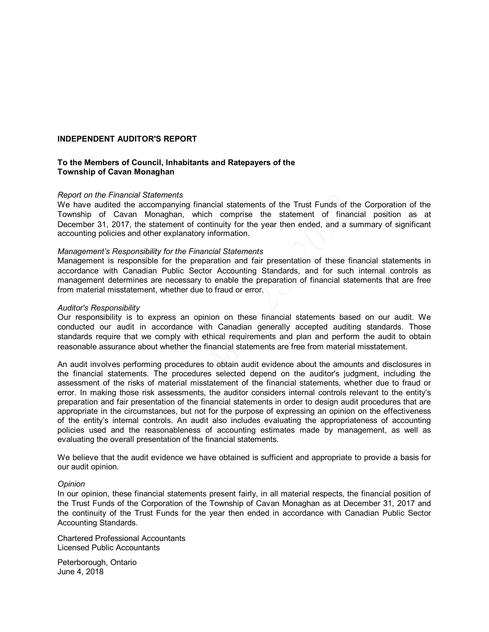### **INDEPENDENT AUDITOR'S REPORT**

### **To the Members of Council, Inhabitants and Ratepayers of the Township of Cavan Monaghan**

### *Report on the Financial Statements*

We have audited the accompanying financial statements of the Trust Funds of the Corporation of the Township of Cavan Monaghan, which comprise the statement of financial position as at December 31, 2017, the statement of continuity for the year then ended, and a summary of significant accounting policies and other explanatory information.

### *Management's Responsibility for the Financial Statements*

Management is responsible for the preparation and fair presentation of these financial statements in accordance with Canadian Public Sector Accounting Standards, and for such internal controls as management determines are necessary to enable the preparation of financial statements that are free from material misstatement, whether due to fraud or error.

### *Auditor's Responsibility*

Our responsibility is to express an opinion on these financial statements based on our audit. We conducted our audit in accordance with Canadian generally accepted auditing standards. Those standards require that we comply with ethical requirements and plan and perform the audit to obtain reasonable assurance about whether the financial statements are free from material misstatement.

An audit involves performing procedures to obtain audit evidence about the amounts and disclosures in the financial statements. The procedures selected depend on the auditor's judgment, including the assessment of the risks of material misstatement of the financial statements, whether due to fraud or error. In making those risk assessments, the auditor considers internal controls relevant to the entity's preparation and fair presentation of the financial statements in order to design audit procedures that are appropriate in the circumstances, but not for the purpose of expressing an opinion on the effectiveness of the entity's internal controls. An audit also includes evaluating the appropriateness of accounting policies used and the reasonableness of accounting estimates made by management, as well as evaluating the overall presentation of the financial statements.

We believe that the audit evidence we have obtained is sufficient and appropriate to provide a basis for our audit opinion.

#### *Opinion*

In our opinion, these financial statements present fairly, in all material respects, the financial position of the Trust Funds of the Corporation of the Township of Cavan Monaghan as at December 31, 2017 and the continuity of the Trust Funds for the year then ended in accordance with Canadian Public Sector Accounting Standards.

Chartered Professional Accountants Licensed Public Accountants

Peterborough, Ontario June 4, 2018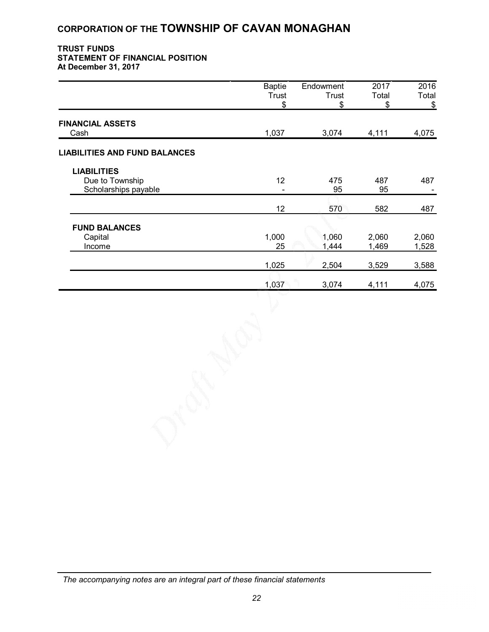### **TRUST FUNDS STATEMENT OF FINANCIAL POSITION At December 31, 2017**

|                                      | <b>Baptie</b> | Endowment    | 2017  | 2016  |
|--------------------------------------|---------------|--------------|-------|-------|
|                                      | Trust         | <b>Trust</b> | Total | Total |
|                                      | \$            | \$           | \$    | \$    |
| <b>FINANCIAL ASSETS</b>              |               |              |       |       |
| Cash                                 | 1,037         | 3,074        | 4,111 | 4,075 |
| <b>LIABILITIES AND FUND BALANCES</b> |               |              |       |       |
| <b>LIABILITIES</b>                   |               |              |       |       |
| Due to Township                      | 12            | 475          | 487   | 487   |
| Scholarships payable                 |               | 95           | 95    |       |
|                                      |               |              |       |       |
|                                      | 12            | 570          | 582   | 487   |
|                                      |               |              |       |       |
| <b>FUND BALANCES</b>                 |               |              |       |       |
| Capital                              | 1,000         | 1,060        | 2,060 | 2,060 |
| Income                               | 25            | 1,444        | 1,469 | 1,528 |
|                                      |               |              |       |       |
|                                      | 1,025         | 2,504        | 3,529 | 3,588 |
|                                      |               |              |       |       |
|                                      | 1,037         | 3,074        | 4,111 | 4,075 |
|                                      |               |              |       |       |

*The accompanying notes are an integral part of these financial statements*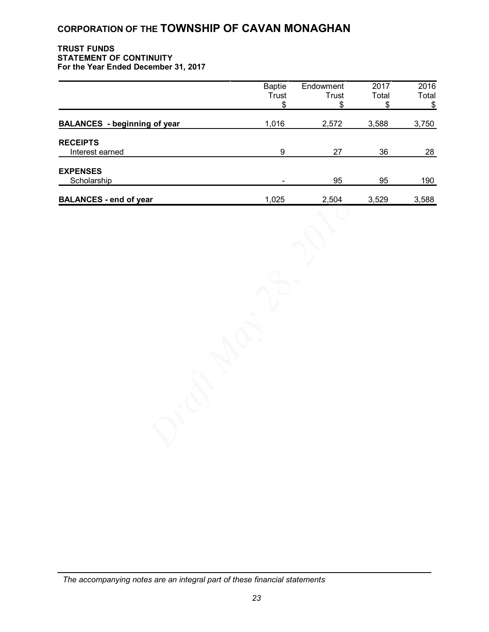# **TRUST FUNDS**

**STATEMENT OF CONTINUITY For the Year Ended December 31, 2017**

|                                     | <b>Baptie</b><br>Trust<br>\$ | Endowment<br>Trust<br>\$ | 2017<br>Total<br>\$ | 2016<br>Total<br>$\overline{\mathcal{F}}$ |
|-------------------------------------|------------------------------|--------------------------|---------------------|-------------------------------------------|
| <b>BALANCES</b> - beginning of year | 1,016                        | 2,572                    | 3,588               | 3,750                                     |
| <b>RECEIPTS</b><br>Interest earned  | 9                            | 27                       | 36                  | 28                                        |
| <b>EXPENSES</b><br>Scholarship      |                              | 95                       | 95                  | <u>190</u>                                |
| <b>BALANCES - end of year</b>       | 1,025                        | 2,504                    | 3,529               | 3,588                                     |
|                                     |                              |                          |                     |                                           |

*The accompanying notes are an integral part of these financial statements*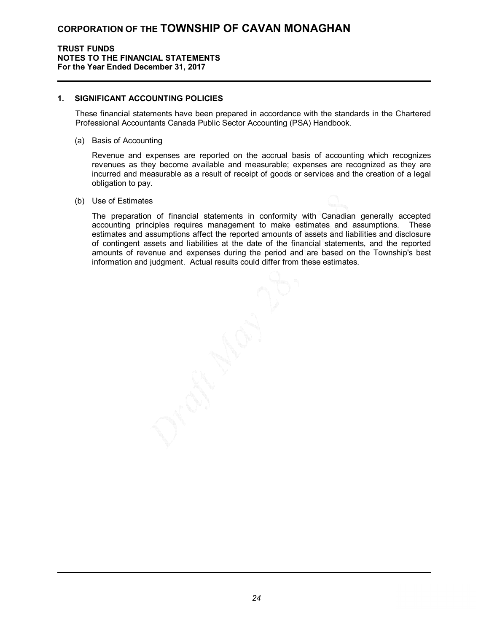### **TRUST FUNDS NOTES TO THE FINANCIAL STATEMENTS For the Year Ended December 31, 2017**

### **1. SIGNIFICANT ACCOUNTING POLICIES**

These financial statements have been prepared in accordance with the standards in the Chartered Professional Accountants Canada Public Sector Accounting (PSA) Handbook.

(a) Basis of Accounting

Revenue and expenses are reported on the accrual basis of accounting which recognizes revenues as they become available and measurable; expenses are recognized as they are incurred and measurable as a result of receipt of goods or services and the creation of a legal obligation to pay.

(b) Use of Estimates



The preparation of financial statements in conformity with<sup>\*\*</sup>Canadian generally accepted accounting principles requires management to make estimates and assumptions. These estimates and assumptions affect the reported amounts of assets and liabilities and disclosure of contingent assets and liabilities at the date of the financial statements, and the reported amounts of revenue and expenses during the period and are based on the Township's best information and judgment. Actual results could differ from these estimates.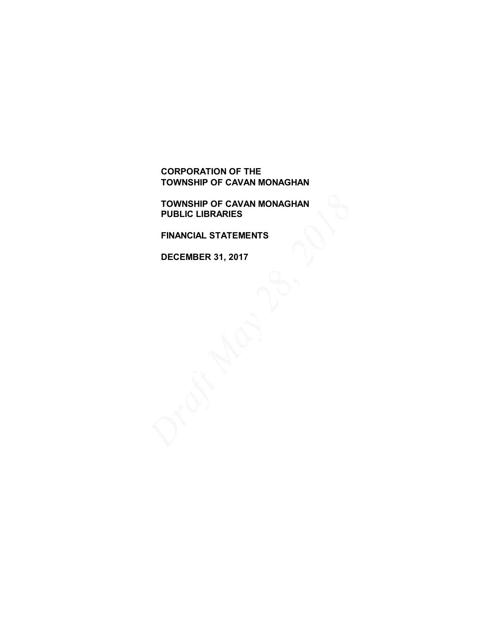**TOWNSHIP OF CAVAN MONAGHAN PUBLIC LIBRARIES**

**FINANCIAL STATEMENTS**

DECEMBER 31, 2017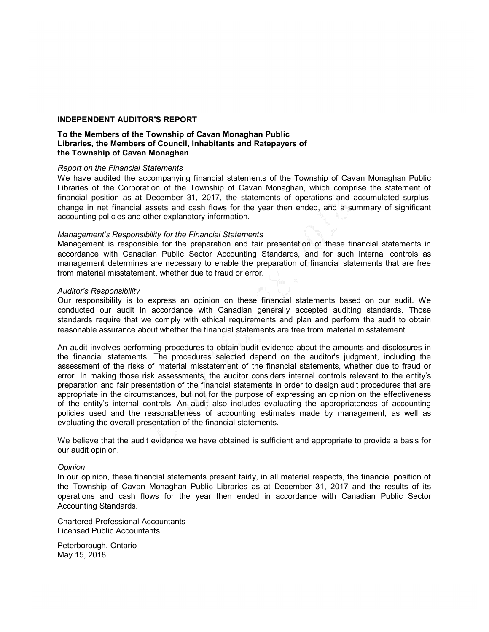### **INDEPENDENT AUDITOR'S REPORT**

### **To the Members of the Township of Cavan Monaghan Public Libraries, the Members of Council, Inhabitants and Ratepayers of the Township of Cavan Monaghan**

### *Report on the Financial Statements*

We have audited the accompanying financial statements of the Township of Cavan Monaghan Public Libraries of the Corporation of the Township of Cavan Monaghan, which comprise the statement of financial position as at December 31, 2017, the statements of operations and accumulated surplus, change in net financial assets and cash flows for the year then ended, and a summary of significant accounting policies and other explanatory information.

### *Management's Responsibility for the Financial Statements*

Management is responsible for the preparation and fair presentation of these financial statements in accordance with Canadian Public Sector Accounting Standards, and for such internal controls as management determines are necessary to enable the preparation of financial statements that are free from material misstatement, whether due to fraud or error.

### *Auditor's Responsibility*

Our responsibility is to express an opinion on these financial statements based on our audit. We conducted our audit in accordance with Canadian generally accepted auditing standards. Those standards require that we comply with ethical requirements and plan and perform the audit to obtain reasonable assurance about whether the financial statements are free from material misstatement.

An audit involves performing procedures to obtain audit evidence about the amounts and disclosures in the financial statements. The procedures selected depend on the auditor's judgment, including the assessment of the risks of material misstatement of the financial statements, whether due to fraud or error. In making those risk assessments, the auditor considers internal controls relevant to the entity's preparation and fair presentation of the financial statements in order to design audit procedures that are appropriate in the circumstances, but not for the purpose of expressing an opinion on the effectiveness of the entity's internal controls. An audit also includes evaluating the appropriateness of accounting policies used and the reasonableness of accounting estimates made by management, as well as evaluating the overall presentation of the financial statements.

We believe that the audit evidence we have obtained is sufficient and appropriate to provide a basis for our audit opinion.

#### *Opinion*

In our opinion, these financial statements present fairly, in all material respects, the financial position of the Township of Cavan Monaghan Public Libraries as at December 31, 2017 and the results of its operations and cash flows for the year then ended in accordance with Canadian Public Sector Accounting Standards.

Chartered Professional Accountants Licensed Public Accountants

Peterborough, Ontario May 15, 2018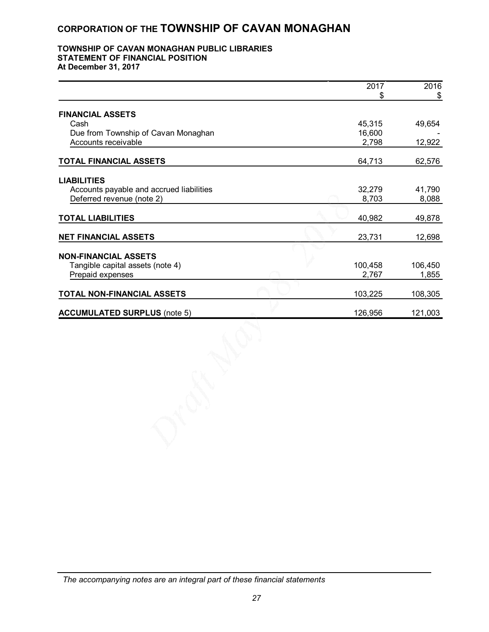### **TOWNSHIP OF CAVAN MONAGHAN PUBLIC LIBRARIES STATEMENT OF FINANCIAL POSITION**

**At December 31, 2017**

|                                                                       | 2017<br>\$      | 2016<br>\$      |
|-----------------------------------------------------------------------|-----------------|-----------------|
|                                                                       |                 |                 |
| <b>FINANCIAL ASSETS</b>                                               |                 |                 |
| Cash                                                                  | 45,315          | 49,654          |
| Due from Township of Cavan Monaghan<br>Accounts receivable            | 16,600<br>2,798 | 12,922          |
| TOTAL FINANCIAL ASSETS                                                | 64,713          | 62,576          |
|                                                                       |                 |                 |
| <b>LIABILITIES</b>                                                    |                 |                 |
| Accounts payable and accrued liabilities<br>Deferred revenue (note 2) | 32,279<br>8,703 | 41,790<br>8,088 |
|                                                                       |                 |                 |
| <b>TOTAL LIABILITIES</b>                                              | 40,982          | 49,878          |
|                                                                       |                 |                 |
| <b>NET FINANCIAL ASSETS</b>                                           | 23,731          | 12,698          |
| <b>NON-FINANCIAL ASSETS</b>                                           |                 |                 |
| Tangible capital assets (note 4)                                      | 100,458         | 106,450         |
| Prepaid expenses                                                      | 2,767           | 1,855           |
|                                                                       |                 |                 |
| TOTAL NON-FINANCIAL ASSETS                                            | 103,225         | 108,305         |
| <b>ACCUMULATED SURPLUS (note 5)</b>                                   | 126,956         | 121,003         |
|                                                                       |                 |                 |
|                                                                       |                 |                 |
|                                                                       |                 |                 |
|                                                                       |                 |                 |
|                                                                       |                 |                 |
|                                                                       |                 |                 |
|                                                                       |                 |                 |
|                                                                       |                 |                 |
|                                                                       |                 |                 |
|                                                                       |                 |                 |

*The accompanying notes are an integral part of these financial statements*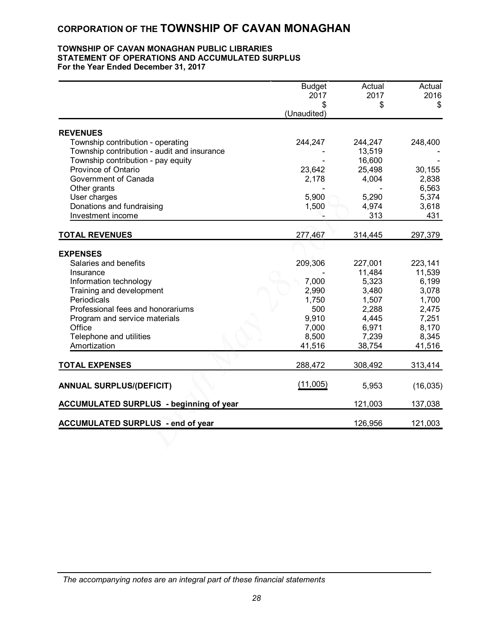### **TOWNSHIP OF CAVAN MONAGHAN PUBLIC LIBRARIES STATEMENT OF OPERATIONS AND ACCUMULATED SURPLUS For the Year Ended December 31, 2017**

|                                                | <b>Budget</b><br>2017 | Actual<br>2017 | Actual<br>2016 |
|------------------------------------------------|-----------------------|----------------|----------------|
|                                                |                       | \$             | \$             |
|                                                | (Unaudited)           |                |                |
| <b>REVENUES</b>                                |                       |                |                |
| Township contribution - operating              | 244,247               | 244,247        | 248,400        |
| Township contribution - audit and insurance    |                       | 13,519         |                |
| Township contribution - pay equity             |                       | 16,600         |                |
| Province of Ontario                            | 23,642                | 25,498         | 30,155         |
| Government of Canada                           | 2,178                 | 4,004          | 2,838          |
| Other grants                                   |                       |                | 6,563          |
| User charges                                   | 5,900                 | 5,290          | 5,374          |
| Donations and fundraising                      | 1,500                 | 4,974          | 3,618          |
| Investment income                              |                       | 313            | 431            |
|                                                |                       |                |                |
| <b>TOTAL REVENUES</b>                          | 277,467               | 314,445        | 297,379        |
|                                                |                       |                |                |
| <b>EXPENSES</b>                                |                       |                |                |
| Salaries and benefits                          | 209,306               | 227,001        | 223,141        |
| Insurance                                      |                       | 11,484         | 11,539         |
| Information technology                         | 7,000                 | 5,323          | 6,199          |
| Training and development                       | 2,990                 | 3,480          | 3,078          |
| Periodicals                                    | 1,750                 | 1,507          | 1,700          |
| Professional fees and honorariums              | 500                   | 2,288          | 2,475          |
| Program and service materials                  | 9,910                 | 4,445          | 7,251          |
| Office                                         | 7,000                 | 6,971          | 8,170          |
| Telephone and utilities                        | 8,500                 | 7,239          | 8,345          |
| Amortization                                   | 41,516                | 38,754         | 41,516         |
| <b>TOTAL EXPENSES</b>                          | 288,472               | 308,492        | 313,414        |
|                                                |                       |                |                |
| <b>ANNUAL SURPLUS/(DEFICIT)</b>                | (11,005)              | 5,953          | (16, 035)      |
| <b>ACCUMULATED SURPLUS</b> - beginning of year |                       | 121,003        | 137,038        |
|                                                |                       |                |                |
| <b>ACCUMULATED SURPLUS - end of year</b>       |                       | 126,956        | 121,003        |

 *The accompanying notes are an integral part of these financial statements*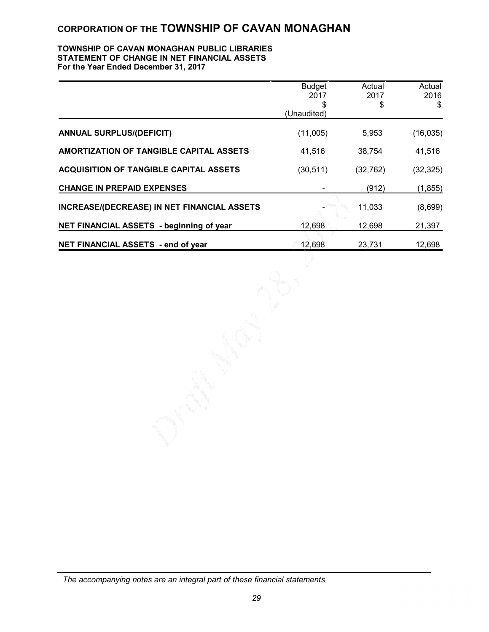### **TOWNSHIP OF CAVAN MONAGHAN PUBLIC LIBRARIES STATEMENT OF CHANGE IN NET FINANCIAL ASSETS For the Year Ended December 31, 2017**

|                                               | <b>Budget</b><br>2017 | Actual<br>2017 | Actual<br>2016 |
|-----------------------------------------------|-----------------------|----------------|----------------|
|                                               | \$<br>(Unaudited)     | \$             | \$             |
| <b>ANNUAL SURPLUS/(DEFICIT)</b>               | (11,005)              | 5,953          | (16, 035)      |
| AMORTIZATION OF TANGIBLE CAPITAL ASSETS       | 41,516                | 38,754         | 41,516         |
| <b>ACQUISITION OF TANGIBLE CAPITAL ASSETS</b> | (30, 511)             | (32, 762)      | (32, 325)      |
| <b>CHANGE IN PREPAID EXPENSES</b>             |                       | (912)          | (1, 855)       |
| INCREASE/(DECREASE) IN NET FINANCIAL ASSETS   |                       | 11,033         | (8,699)        |
| NET FINANCIAL ASSETS - beginning of year      | 12,698                | 12,698         | 21,397         |
| NET FINANCIAL ASSETS - end of year            | 12,698                | 23,731         | 12,698         |
|                                               |                       |                |                |

 *The accompanying notes are an integral part of these financial statements*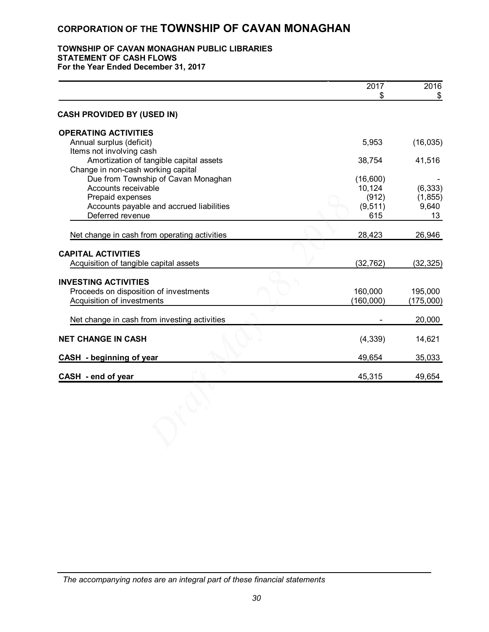### **TOWNSHIP OF CAVAN MONAGHAN PUBLIC LIBRARIES STATEMENT OF CASH FLOWS For the Year Ended December 31, 2017**

|                                                                     | 2017<br>\$      | 2016<br>\$  |
|---------------------------------------------------------------------|-----------------|-------------|
| <b>CASH PROVIDED BY (USED IN)</b>                                   |                 |             |
| <b>OPERATING ACTIVITIES</b>                                         |                 |             |
| Annual surplus (deficit)                                            | 5,953           | (16, 035)   |
| Items not involving cash<br>Amortization of tangible capital assets | 38,754          | 41,516      |
| Change in non-cash working capital                                  |                 |             |
| Due from Township of Cavan Monaghan                                 | (16,600)        |             |
| Accounts receivable                                                 | 10,124          | (6, 333)    |
| Prepaid expenses                                                    | (912)           | (1, 855)    |
| Accounts payable and accrued liabilities<br>Deferred revenue        | (9, 511)<br>615 | 9,640<br>13 |
|                                                                     |                 |             |
| Net change in cash from operating activities                        | 28,423          | 26,946      |
|                                                                     |                 |             |
| <b>CAPITAL ACTIVITIES</b><br>Acquisition of tangible capital assets | (32, 762)       | (32, 325)   |
|                                                                     |                 |             |
| <b>INVESTING ACTIVITIES</b>                                         |                 |             |
| Proceeds on disposition of investments                              | 160,000         | 195,000     |
| Acquisition of investments                                          | (160,000)       | (175,000)   |
| Net change in cash from investing activities                        |                 | 20,000      |
| <b>NET CHANGE IN CASH</b>                                           | (4, 339)        | 14,621      |
| <b>CASH</b> - beginning of year                                     | 49,654          | 35,033      |
| CASH - end of year                                                  | 45,315          | 49,654      |
|                                                                     |                 |             |

*The accompanying notes are an integral part of these financial statements*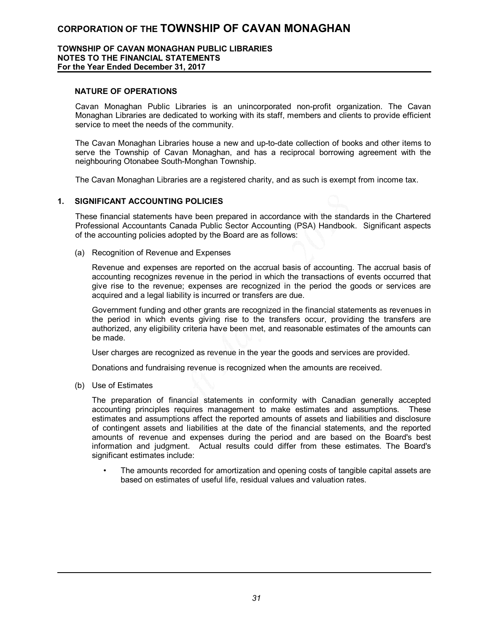### **TOWNSHIP OF CAVAN MONAGHAN PUBLIC LIBRARIES NOTES TO THE FINANCIAL STATEMENTS For the Year Ended December 31, 2017**

### **NATURE OF OPERATIONS**

Cavan Monaghan Public Libraries is an unincorporated non-profit organization. The Cavan Monaghan Libraries are dedicated to working with its staff, members and clients to provide efficient service to meet the needs of the community.

The Cavan Monaghan Libraries house a new and up-to-date collection of books and other items to serve the Township of Cavan Monaghan, and has a reciprocal borrowing agreement with the neighbouring Otonabee South-Monghan Township.

The Cavan Monaghan Libraries are a registered charity, and as such is exempt from income tax.

### **1. SIGNIFICANT ACCOUNTING POLICIES**

These financial statements have been prepared in accordance with the standards in the Chartered Professional Accountants Canada Public Sector Accounting (PSA) Handbook. Significant aspects of the accounting policies adopted by the Board are as follows:

(a) Recognition of Revenue and Expenses

Revenue and expenses are reported on the accrual basis of accounting. The accrual basis of accounting recognizes revenue in the period in which the transactions of events occurred that give rise to the revenue; expenses are recognized in the period the goods or services are acquired and a legal liability is incurred or transfers are due.

Government funding and other grants are recognized in the financial statements as revenues in the period in which events giving rise to the transfers occur, providing the transfers are authorized, any eligibility criteria have been met, and reasonable estimates of the amounts can be made.

User charges are recognized as revenue in the year the goods and services are provided.

Donations and fundraising revenue is recognized when the amounts are received.

(b) Use of Estimates

The preparation of financial statements in conformity with Canadian generally accepted accounting principles requires management to make estimates and assumptions. These estimates and assumptions affect the reported amounts of assets and liabilities and disclosure of contingent assets and liabilities at the date of the financial statements, and the reported amounts of revenue and expenses during the period and are based on the Board's best information and judgment. Actual results could differ from these estimates. The Board's significant estimates include:

• The amounts recorded for amortization and opening costs of tangible capital assets are based on estimates of useful life, residual values and valuation rates.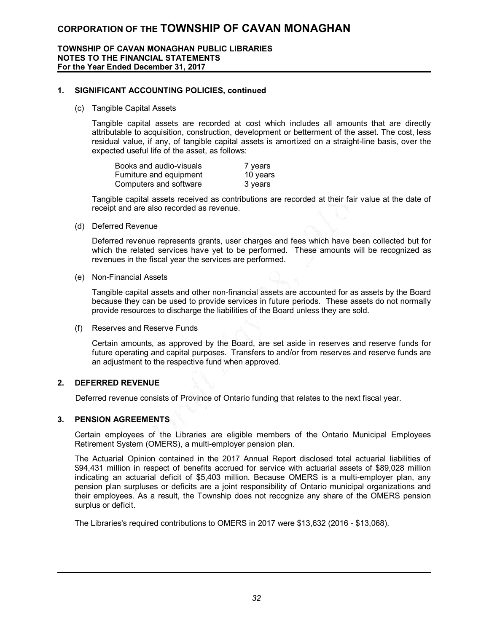### **TOWNSHIP OF CAVAN MONAGHAN PUBLIC LIBRARIES NOTES TO THE FINANCIAL STATEMENTS For the Year Ended December 31, 2017**

### **1. SIGNIFICANT ACCOUNTING POLICIES, continued**

(c) Tangible Capital Assets

Tangible capital assets are recorded at cost which includes all amounts that are directly attributable to acquisition, construction, development or betterment of the asset. The cost, less residual value, if any, of tangible capital assets is amortized on a straight-line basis, over the expected useful life of the asset, as follows:

| Books and audio-visuals | 7 years  |
|-------------------------|----------|
| Furniture and equipment | 10 years |
| Computers and software  | 3 years  |

Tangible capital assets received as contributions are recorded at their fair value at the date of receipt and are also recorded as revenue.

(d) Deferred Revenue

Deferred revenue represents grants, user charges and fees which have been collected but for which the related services have yet to be performed. These amounts will be recognized as revenues in the fiscal year the services are performed.

(e) Non-Financial Assets

Tangible capital assets and other non-financial assets are accounted for as assets by the Board because they can be used to provide services in future periods. These assets do not normally provide resources to discharge the liabilities of the Board unless they are sold.

(f) Reserves and Reserve Funds

Certain amounts, as approved by the Board, are set aside in reserves and reserve funds for future operating and capital purposes. Transfers to and/or from reserves and reserve funds are an adjustment to the respective fund when approved.

### **2. DEFERRED REVENUE**

Deferred revenue consists of Province of Ontario funding that relates to the next fiscal year.

### **3. PENSION AGREEMENTS**

Certain employees of the Libraries are eligible members of the Ontario Municipal Employees Retirement System (OMERS), a multi-employer pension plan.

The Actuarial Opinion contained in the 2017 Annual Report disclosed total actuarial liabilities of \$94,431 million in respect of benefits accrued for service with actuarial assets of \$89,028 million indicating an actuarial deficit of \$5,403 million. Because OMERS is a multi-employer plan, any pension plan surpluses or deficits are a joint responsibility of Ontario municipal organizations and their employees. As a result, the Township does not recognize any share of the OMERS pension surplus or deficit.

The Libraries's required contributions to OMERS in 2017 were \$13,632 (2016 - \$13,068).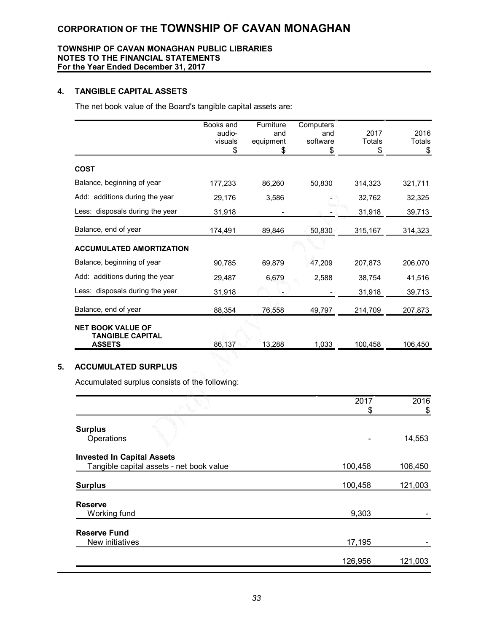### **TOWNSHIP OF CAVAN MONAGHAN PUBLIC LIBRARIES NOTES TO THE FINANCIAL STATEMENTS For the Year Ended December 31, 2017**

### **4. TANGIBLE CAPITAL ASSETS**

The net book value of the Board's tangible capital assets are:

|                                                     | Books and | Furniture | Computers |         |         |
|-----------------------------------------------------|-----------|-----------|-----------|---------|---------|
|                                                     | audio-    | and       | and       | 2017    | 2016    |
|                                                     | visuals   | equipment | software  | Totals  | Totals  |
|                                                     | \$        | S         | \$        | \$      | \$      |
| <b>COST</b>                                         |           |           |           |         |         |
| Balance, beginning of year                          | 177,233   | 86,260    | 50,830    | 314,323 | 321,711 |
| Add: additions during the year                      | 29,176    | 3,586     |           | 32,762  | 32,325  |
| Less: disposals during the year                     | 31,918    |           |           | 31,918  | 39,713  |
|                                                     |           |           |           |         |         |
| Balance, end of year                                | 174,491   | 89,846    | 50,830    | 315,167 | 314,323 |
| <b>ACCUMULATED AMORTIZATION</b>                     |           |           |           |         |         |
| Balance, beginning of year                          | 90,785    | 69,879    | 47,209    | 207,873 | 206,070 |
| Add: additions during the year                      | 29,487    | 6,679     | 2,588     | 38,754  | 41,516  |
| Less: disposals during the year                     | 31,918    |           |           | 31,918  | 39,713  |
| Balance, end of year                                | 88,354    | 76,558    | 49,797    | 214,709 | 207,873 |
| <b>NET BOOK VALUE OF</b><br><b>TANGIBLE CAPITAL</b> |           |           |           |         |         |
| <b>ASSETS</b>                                       | 86,137    | 13,288    | 1,033     | 100,458 | 106,450 |

### **5. ACCUMULATED SURPLUS**

Accumulated surplus consists of the following:

|                                          | 2017<br>\$ | 2016<br>\$ |
|------------------------------------------|------------|------------|
| <b>Surplus</b><br>Operations             |            | 14,553     |
| <b>Invested In Capital Assets</b>        |            |            |
| Tangible capital assets - net book value | 100,458    | 106,450    |
| <b>Surplus</b>                           | 100,458    | 121,003    |
| <b>Reserve</b>                           |            |            |
| Working fund                             | 9,303      |            |
| <b>Reserve Fund</b><br>New initiatives   | 17,195     |            |
|                                          |            |            |
|                                          | 126,956    | 121,003    |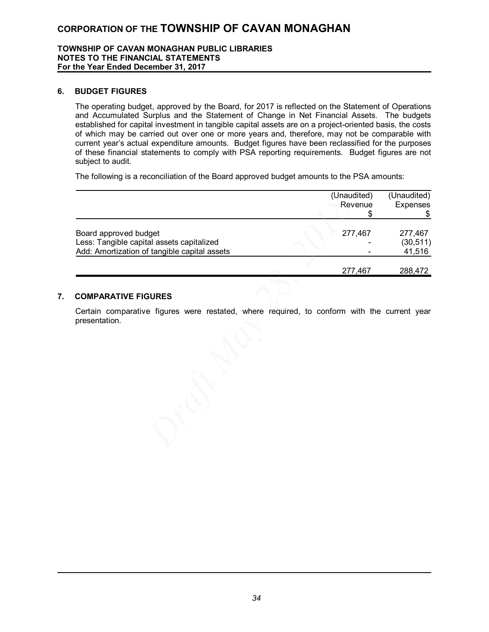### **TOWNSHIP OF CAVAN MONAGHAN PUBLIC LIBRARIES NOTES TO THE FINANCIAL STATEMENTS For the Year Ended December 31, 2017**

### **6. BUDGET FIGURES**

The operating budget, approved by the Board, for 2017 is reflected on the Statement of Operations and Accumulated Surplus and the Statement of Change in Net Financial Assets. The budgets established for capital investment in tangible capital assets are on a project-oriented basis, the costs of which may be carried out over one or more years and, therefore, may not be comparable with current year's actual expenditure amounts. Budget figures have been reclassified for the purposes of these financial statements to comply with PSA reporting requirements. Budget figures are not subject to audit.

The following is a reconciliation of the Board approved budget amounts to the PSA amounts:

|                                                                                                                    | (Unaudited)<br>Revenue | (Unaudited)<br><b>Expenses</b> |
|--------------------------------------------------------------------------------------------------------------------|------------------------|--------------------------------|
| Board approved budget<br>Less: Tangible capital assets capitalized<br>Add: Amortization of tangible capital assets | 277,467                | 277,467<br>(30, 511)<br>41,516 |
|                                                                                                                    | 277,467                | 288,472                        |

### **7. COMPARATIVE FIGURES**

Certain comparative figures were restated, where required, to conform with the current year presentation.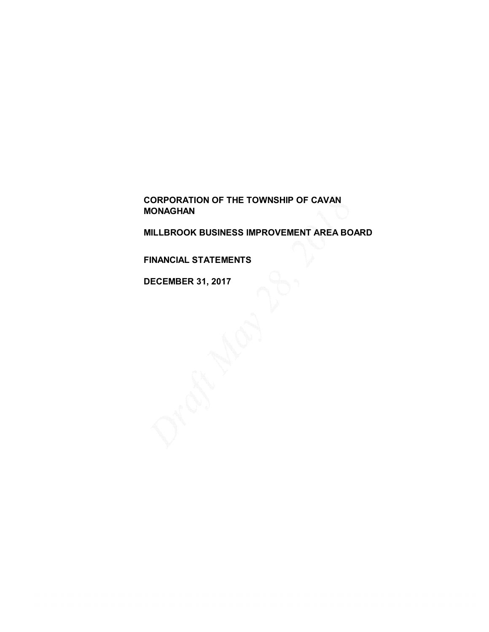**MILLBROOK BUSINESS IMPROVEMENT AREA BOARD**

**FINANCIAL STATEMENTS**

**DECEMBER 31, 2017**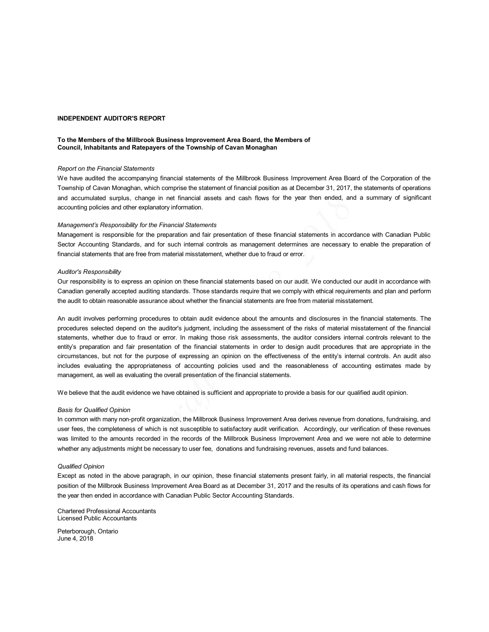#### **INDEPENDENT AUDITOR'S REPORT**

#### **To the Members of the Millbrook Business Improvement Area Board, the Members of Council, Inhabitants and Ratepayers of the Township of Cavan Monaghan**

#### *Report on the Financial Statements*

We have audited the accompanying financial statements of the Millbrook Business Improvement Area Board of the Corporation of the Township of Cavan Monaghan, which comprise the statement of financial position as at December 31, 2017, the statements of operations and accumulated surplus, change in net financial assets and cash flows for the year then ended, and a summary of significant accounting policies and other explanatory information.

#### *Management's Responsibility for the Financial Statements*

Management is responsible for the preparation and fair presentation of these financial statements in accordance with Canadian Public Sector Accounting Standards, and for such internal controls as management determines are necessary to enable the preparation of financial statements that are free from material misstatement, whether due to fraud or error.

#### *Auditor's Responsibility*

Our responsibility is to express an opinion on these financial statements based on our audit. We conducted our audit in accordance with Canadian generally accepted auditing standards. Those standards require that we comply with ethical requirements and plan and perform the audit to obtain reasonable assurance about whether the financial statements are free from material misstatement.

An audit involves performing procedures to obtain audit evidence about the amounts and disclosures in the financial statements. The procedures selected depend on the auditor's judgment, including the assessment of the risks of material misstatement of the financial statements, whether due to fraud or error. In making those risk assessments, the auditor considers internal controls relevant to the entity's preparation and fair presentation of the financial statements in order to design audit procedures that are appropriate in the circumstances, but not for the purpose of expressing an opinion on the effectiveness of the entity's internal controls. An audit also includes evaluating the appropriateness of accounting policies used and the reasonableness of accounting estimates made by management, as well as evaluating the overall presentation of the financial statements.

We believe that the audit evidence we have obtained is sufficient and appropriate to provide a basis for our qualified audit opinion.

#### *Basis for Qualified Opinion*

In common with many non-profit organization, the Millbrook Business Improvement Area derives revenue from donations, fundraising, and user fees, the completeness of which is not susceptible to satisfactory audit verification. Accordingly, our verification of these revenues was limited to the amounts recorded in the records of the Millbrook Business Improvement Area and we were not able to determine whether any adjustments might be necessary to user fee, donations and fundraising revenues, assets and fund balances.

#### *Qualified Opinion*

Except as noted in the above paragraph, in our opinion, these financial statements present fairly, in all material respects, the financial position of the Millbrook Business Improvement Area Board as at December 31, 2017 and the results of its operations and cash flows for the year then ended in accordance with Canadian Public Sector Accounting Standards.

Chartered Professional Accountants Licensed Public Accountants

Peterborough, Ontario June 4, 2018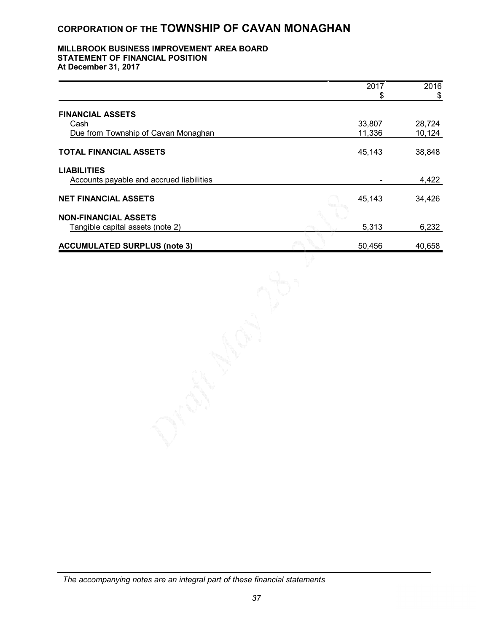## **MILLBROOK BUSINESS IMPROVEMENT AREA BOARD STATEMENT OF FINANCIAL POSITION**

**At December 31, 2017**

|                                          | 2017   | 2016   |
|------------------------------------------|--------|--------|
|                                          | \$     | \$     |
| <b>FINANCIAL ASSETS</b>                  |        |        |
| Cash                                     | 33,807 | 28,724 |
| Due from Township of Cavan Monaghan      | 11,336 | 10,124 |
| <b>TOTAL FINANCIAL ASSETS</b>            | 45,143 | 38,848 |
| <b>LIABILITIES</b>                       |        |        |
| Accounts payable and accrued liabilities |        | 4,422  |
| <b>NET FINANCIAL ASSETS</b>              | 45,143 | 34,426 |
| <b>NON-FINANCIAL ASSETS</b>              |        |        |
| Tangible capital assets (note 2)         | 5,313  | 6,232  |
| <b>ACCUMULATED SURPLUS (note 3)</b>      | 50,456 | 40,658 |
|                                          |        |        |

 *The accompanying notes are an integral part of these financial statements*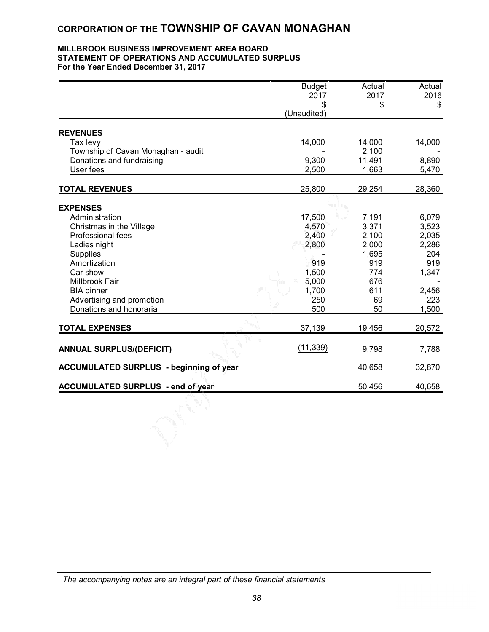### **MILLBROOK BUSINESS IMPROVEMENT AREA BOARD STATEMENT OF OPERATIONS AND ACCUMULATED SURPLUS**

**For the Year Ended December 31, 2017**

|                                                      | <b>Budget</b><br>2017 | Actual<br>2017 | Actual<br>2016 |
|------------------------------------------------------|-----------------------|----------------|----------------|
|                                                      | \$                    | \$             | \$             |
|                                                      | (Unaudited)           |                |                |
|                                                      |                       |                |                |
| <b>REVENUES</b><br>Tax levy                          | 14,000                | 14,000         | 14,000         |
| Township of Cavan Monaghan - audit                   |                       | 2,100          |                |
| Donations and fundraising                            | 9,300                 | 11,491         | 8,890          |
| User fees                                            | 2,500                 | 1,663          | 5,470          |
|                                                      |                       |                |                |
| <b>TOTAL REVENUES</b>                                | 25,800                | 29,254         | 28,360         |
| <b>EXPENSES</b>                                      |                       |                |                |
| Administration                                       | 17,500                | 7,191          | 6,079          |
| Christmas in the Village                             | 4,570                 | 3,371          | 3,523          |
| Professional fees                                    | 2,400                 | 2,100          | 2,035          |
| Ladies night                                         | 2,800                 | 2,000          | 2,286          |
| Supplies                                             |                       | 1,695          | 204            |
| Amortization                                         | 919                   | 919            | 919            |
| Car show                                             | 1,500                 | 774            | 1,347          |
| Millbrook Fair                                       | 5,000                 | 676            |                |
| <b>BIA</b> dinner                                    | 1,700<br>250          | 611<br>69      | 2,456<br>223   |
| Advertising and promotion<br>Donations and honoraria | 500                   | 50             | 1,500          |
|                                                      |                       |                |                |
| <b>TOTAL EXPENSES</b>                                | 37,139                | 19,456         | 20,572         |
|                                                      |                       |                |                |
| <b>ANNUAL SURPLUS/(DEFICIT)</b>                      | (11, 339)             | 9,798          | 7,788          |
| <b>ACCUMULATED SURPLUS - beginning of year</b>       |                       | 40,658         | 32,870         |
| <b>ACCUMULATED SURPLUS - end of year</b>             |                       | 50,456         | 40,658         |
|                                                      |                       |                |                |
|                                                      |                       |                |                |
|                                                      |                       |                |                |
|                                                      |                       |                |                |

 *The accompanying notes are an integral part of these financial statements*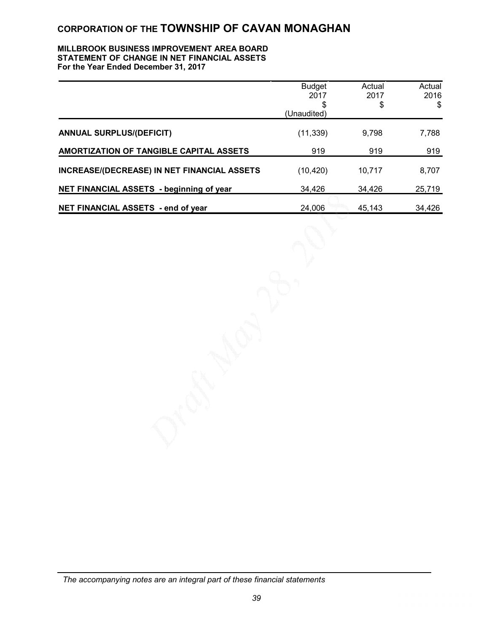### **MILLBROOK BUSINESS IMPROVEMENT AREA BOARD STATEMENT OF CHANGE IN NET FINANCIAL ASSETS For the Year Ended December 31, 2017**

|                                                    | <b>Budget</b><br>2017 | Actual<br>2017 | Actual<br>2016 |
|----------------------------------------------------|-----------------------|----------------|----------------|
|                                                    | \$                    | \$             | \$             |
|                                                    | (Unaudited)           |                |                |
| <b>ANNUAL SURPLUS/(DEFICIT)</b>                    | (11, 339)             | 9.798          | 7,788          |
| <b>AMORTIZATION OF TANGIBLE CAPITAL ASSETS</b>     | 919                   | 919            | 919            |
| <b>INCREASE/(DECREASE) IN NET FINANCIAL ASSETS</b> | (10, 420)             | 10.717         | 8,707          |
| NET FINANCIAL ASSETS - beginning of year           | 34,426                | 34,426         | 25,719         |
| NET FINANCIAL ASSETS - end of year                 | 24,006                | 45,143         | 34,426         |

 *The accompanying notes are an integral part of these financial statements*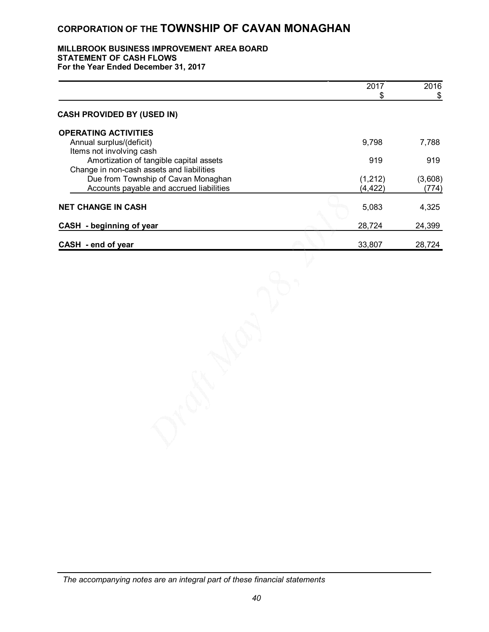### **MILLBROOK BUSINESS IMPROVEMENT AREA BOARD STATEMENT OF CASH FLOWS For the Year Ended December 31, 2017**

|                                                                                  | 2017<br>S | 2016<br>\$ |
|----------------------------------------------------------------------------------|-----------|------------|
| <b>CASH PROVIDED BY (USED IN)</b>                                                |           |            |
| <b>OPERATING ACTIVITIES</b>                                                      |           |            |
| Annual surplus/(deficit)                                                         | 9,798     | 7,788      |
| Items not involving cash                                                         |           |            |
| Amortization of tangible capital assets                                          | 919       | 919        |
| Change in non-cash assets and liabilities<br>Due from Township of Cavan Monaghan | (1, 212)  | (3,608)    |
| Accounts payable and accrued liabilities                                         | (4,422)   | (774)      |
|                                                                                  |           |            |
| <b>NET CHANGE IN CASH</b>                                                        | 5,083     | 4,325      |
| CASH - beginning of year                                                         | 28,724    | 24,399     |
|                                                                                  |           |            |
| CASH - end of year                                                               | 33,807    | 28,724     |
|                                                                                  |           |            |

 *The accompanying notes are an integral part of these financial statements*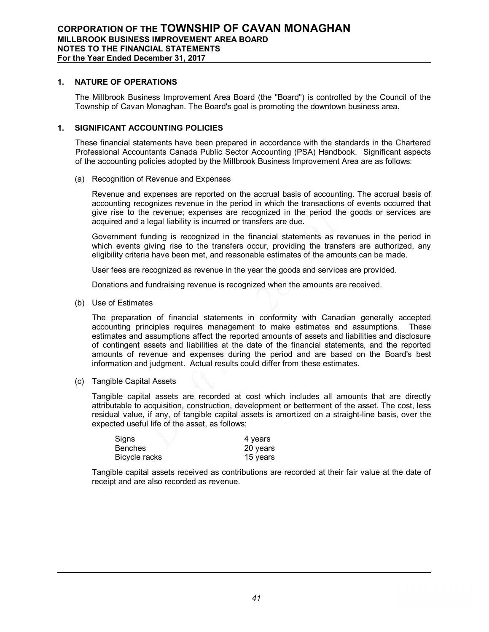### **1. NATURE OF OPERATIONS**

The Millbrook Business Improvement Area Board (the "Board") is controlled by the Council of the Township of Cavan Monaghan. The Board's goal is promoting the downtown business area.

### **1. SIGNIFICANT ACCOUNTING POLICIES**

These financial statements have been prepared in accordance with the standards in the Chartered Professional Accountants Canada Public Sector Accounting (PSA) Handbook. Significant aspects of the accounting policies adopted by the Millbrook Business Improvement Area are as follows:

(a) Recognition of Revenue and Expenses

Revenue and expenses are reported on the accrual basis of accounting. The accrual basis of accounting recognizes revenue in the period in which the transactions of events occurred that give rise to the revenue; expenses are recognized in the period the goods or services are acquired and a legal liability is incurred or transfers are due.

Government funding is recognized in the financial statements as revenues in the period in which events giving rise to the transfers occur, providing the transfers are authorized, any eligibility criteria have been met, and reasonable estimates of the amounts can be made.

User fees are recognized as revenue in the year the goods and services are provided.

Donations and fundraising revenue is recognized when the amounts are received.

(b) Use of Estimates

The preparation of financial statements in conformity with Canadian generally accepted accounting principles requires management to make estimates and assumptions. These estimates and assumptions affect the reported amounts of assets and liabilities and disclosure of contingent assets and liabilities at the date of the financial statements, and the reported amounts of revenue and expenses during the period and are based on the Board's best information and judgment. Actual results could differ from these estimates.

(c) Tangible Capital Assets

Tangible capital assets are recorded at cost which includes all amounts that are directly attributable to acquisition, construction, development or betterment of the asset. The cost, less residual value, if any, of tangible capital assets is amortized on a straight-line basis, over the expected useful life of the asset, as follows:

| Signs          | 4 years  |
|----------------|----------|
| <b>Benches</b> | 20 years |
| Bicycle racks  | 15 years |

Tangible capital assets received as contributions are recorded at their fair value at the date of receipt and are also recorded as revenue.